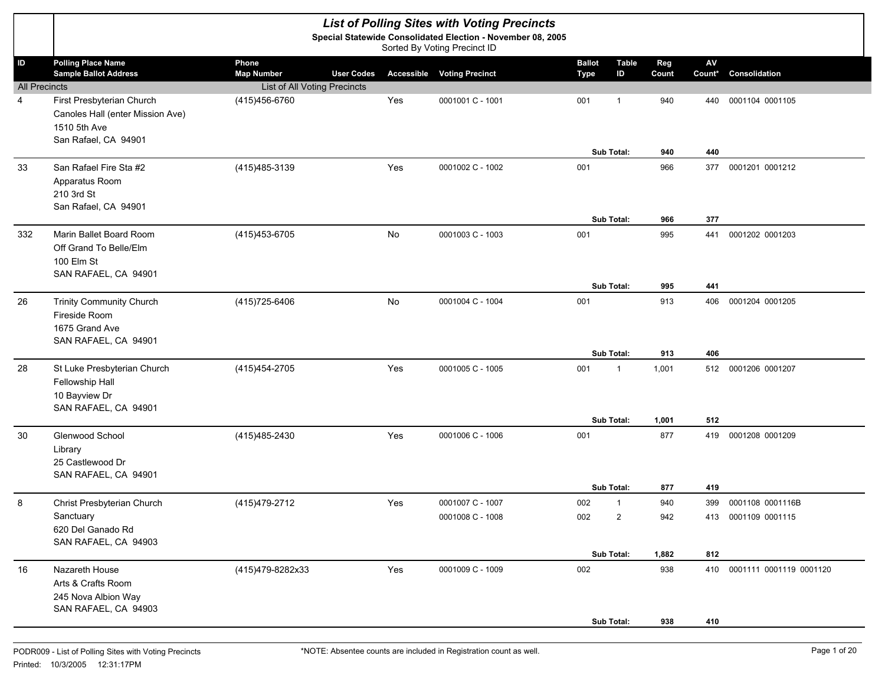|                      |                                                                                                       |                                                 |     | <b>List of Polling Sites with Voting Precincts</b>                                          |                              |                            |              |                                  |                             |
|----------------------|-------------------------------------------------------------------------------------------------------|-------------------------------------------------|-----|---------------------------------------------------------------------------------------------|------------------------------|----------------------------|--------------|----------------------------------|-----------------------------|
|                      |                                                                                                       |                                                 |     | Special Statewide Consolidated Election - November 08, 2005<br>Sorted By Voting Precinct ID |                              |                            |              |                                  |                             |
| ID                   | <b>Polling Place Name</b><br><b>Sample Ballot Address</b>                                             | Phone<br><b>Map Number</b><br><b>User Codes</b> |     | <b>Accessible Voting Precinct</b>                                                           | <b>Ballot</b><br><b>Type</b> | <b>Table</b><br>ID         | Reg<br>Count | $\mathsf{A}\mathsf{V}$<br>Count* | Consolidation               |
| <b>All Precincts</b> |                                                                                                       | List of All Voting Precincts                    |     |                                                                                             |                              |                            |              |                                  |                             |
| 4                    | First Presbyterian Church<br>Canoles Hall (enter Mission Ave)<br>1510 5th Ave<br>San Rafael, CA 94901 | (415) 456-6760                                  | Yes | 0001001 C - 1001                                                                            | 001                          | $\mathbf 1$                | 940          | 440                              | 0001104 0001105             |
|                      |                                                                                                       |                                                 |     |                                                                                             |                              | Sub Total:                 | 940          | 440                              |                             |
| 33                   | San Rafael Fire Sta #2<br>Apparatus Room<br>210 3rd St<br>San Rafael, CA 94901                        | (415) 485-3139                                  | Yes | 0001002 C - 1002                                                                            | 001                          |                            | 966          | 377                              | 0001201 0001212             |
|                      |                                                                                                       |                                                 |     |                                                                                             |                              | Sub Total:                 | 966          | 377                              |                             |
| 332                  | Marin Ballet Board Room<br>Off Grand To Belle/Elm<br>100 Elm St<br>SAN RAFAEL, CA 94901               | (415) 453-6705                                  | No  | 0001003 C - 1003                                                                            | 001                          |                            | 995          | 441                              | 0001202 0001203             |
|                      |                                                                                                       |                                                 |     |                                                                                             |                              | Sub Total:                 | 995          | 441                              |                             |
| 26                   | <b>Trinity Community Church</b><br>Fireside Room<br>1675 Grand Ave<br>SAN RAFAEL, CA 94901            | (415) 725-6406                                  | No  | 0001004 C - 1004                                                                            | 001                          | Sub Total:                 | 913<br>913   | 406<br>406                       | 0001204 0001205             |
| 28                   | St Luke Presbyterian Church<br>Fellowship Hall<br>10 Bayview Dr<br>SAN RAFAEL, CA 94901               | (415) 454-2705                                  | Yes | 0001005 C - 1005                                                                            | 001                          | $\mathbf{1}$<br>Sub Total: | 1,001        | 512                              | 512 0001206 0001207         |
| 30                   | Glenwood School                                                                                       | (415) 485-2430                                  | Yes | 0001006 C - 1006                                                                            | 001                          |                            | 1,001<br>877 | 419                              | 0001208 0001209             |
|                      | Library<br>25 Castlewood Dr<br>SAN RAFAEL, CA 94901                                                   |                                                 |     |                                                                                             |                              |                            |              |                                  |                             |
| 8                    | Christ Presbyterian Church                                                                            | (415) 479-2712                                  | Yes | 0001007 C - 1007                                                                            | 002                          | Sub Total:<br>1            | 877<br>940   | 419<br>399                       | 0001108 0001116B            |
|                      | Sanctuary<br>620 Del Ganado Rd<br>SAN RAFAEL, CA 94903                                                |                                                 |     | 0001008 C - 1008                                                                            | 002                          | 2                          | 942          |                                  | 413 0001109 0001115         |
|                      |                                                                                                       |                                                 |     |                                                                                             |                              | Sub Total:                 | 1,882        | 812                              |                             |
| 16                   | Nazareth House<br>Arts & Crafts Room<br>245 Nova Albion Way<br>SAN RAFAEL, CA 94903                   | (415)479-8282x33                                | Yes | 0001009 C - 1009                                                                            | 002                          |                            | 938          |                                  | 410 0001111 0001119 0001120 |
|                      |                                                                                                       |                                                 |     |                                                                                             |                              | Sub Total:                 | 938          | 410                              |                             |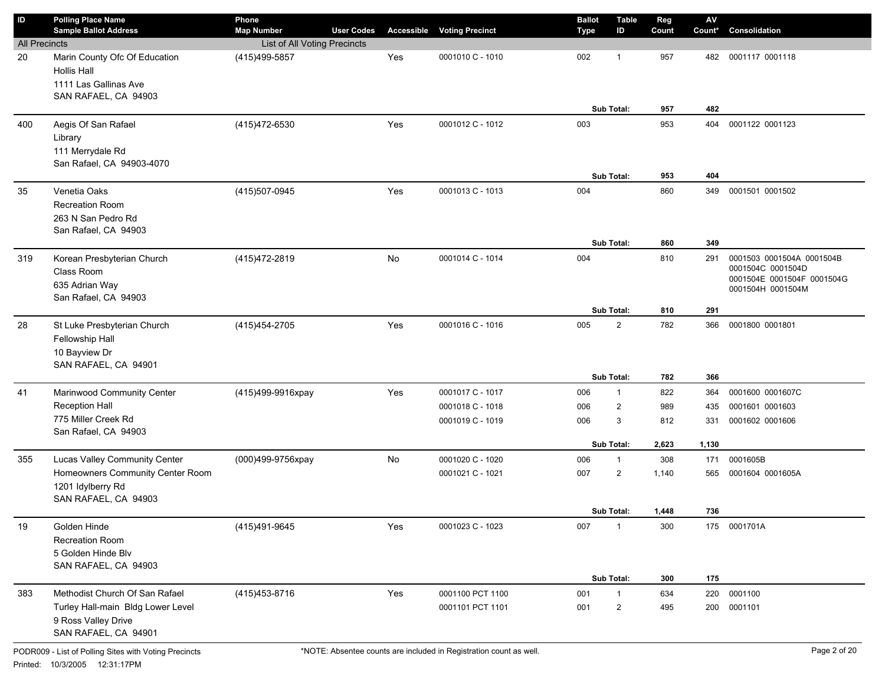| $\mathsf{ID}$        | <b>Polling Place Name</b><br><b>Sample Ballot Address</b>                               | Phone<br><b>Map Number</b>   | <b>User Codes</b> |     | <b>Accessible Voting Precinct</b> | <b>Ballot</b><br><b>Type</b> | <b>Table</b><br>ID | Reg<br>Count | ${\sf AV}$<br>Count* | Consolidation                                                                                     |
|----------------------|-----------------------------------------------------------------------------------------|------------------------------|-------------------|-----|-----------------------------------|------------------------------|--------------------|--------------|----------------------|---------------------------------------------------------------------------------------------------|
| <b>All Precincts</b> |                                                                                         | List of All Voting Precincts |                   |     |                                   |                              |                    |              |                      |                                                                                                   |
| 20                   | Marin County Ofc Of Education<br><b>Hollis Hall</b><br>1111 Las Gallinas Ave            | (415) 499-5857               |                   | Yes | 0001010 C - 1010                  | 002                          | $\mathbf 1$        | 957          | 482                  | 0001117 0001118                                                                                   |
|                      | SAN RAFAEL, CA 94903                                                                    |                              |                   |     |                                   |                              | Sub Total:         | 957          | 482                  |                                                                                                   |
| 400                  | Aegis Of San Rafael<br>Library<br>111 Merrydale Rd                                      | (415) 472-6530               |                   | Yes | 0001012 C - 1012                  | 003                          |                    | 953          | 404                  | 0001122 0001123                                                                                   |
|                      | San Rafael, CA 94903-4070                                                               |                              |                   |     |                                   |                              | Sub Total:         | 953          | 404                  |                                                                                                   |
| 35                   | Venetia Oaks<br>Recreation Room<br>263 N San Pedro Rd<br>San Rafael, CA 94903           | (415)507-0945                |                   | Yes | 0001013 C - 1013                  | 004                          |                    | 860          | 349                  | 0001501 0001502                                                                                   |
|                      |                                                                                         |                              |                   |     |                                   |                              | Sub Total:         | 860          | 349                  |                                                                                                   |
| 319                  | Korean Presbyterian Church<br>Class Room<br>635 Adrian Way<br>San Rafael, CA 94903      | (415) 472-2819               |                   | No  | 0001014 C - 1014                  | 004                          |                    | 810          | 291                  | 0001503 0001504A 0001504B<br>0001504C 0001504D<br>0001504E 0001504F 0001504G<br>0001504H 0001504M |
|                      |                                                                                         |                              |                   |     |                                   |                              | Sub Total:         | 810          | 291                  |                                                                                                   |
| 28                   | St Luke Presbyterian Church<br>Fellowship Hall<br>10 Bayview Dr<br>SAN RAFAEL, CA 94901 | (415) 454-2705               |                   | Yes | 0001016 C - 1016                  | 005                          | $\mathbf{2}$       | 782          | 366                  | 0001800 0001801                                                                                   |
|                      |                                                                                         |                              |                   |     |                                   |                              | Sub Total:         | 782          | 366                  |                                                                                                   |
| 41                   | Marinwood Community Center                                                              | (415)499-9916xpay            |                   | Yes | 0001017 C - 1017                  | 006                          | $\mathbf{1}$       | 822          | 364                  | 0001600 0001607C                                                                                  |
|                      | <b>Reception Hall</b>                                                                   |                              |                   |     | 0001018 C - 1018                  | 006                          | $\overline{2}$     | 989          | 435                  | 0001601 0001603                                                                                   |
|                      | 775 Miller Creek Rd<br>San Rafael, CA 94903                                             |                              |                   |     | 0001019 C - 1019                  | 006                          | 3                  | 812          | 331                  | 0001602 0001606                                                                                   |
|                      |                                                                                         |                              |                   |     |                                   |                              | Sub Total:         | 2,623        | 1,130                |                                                                                                   |
| 355                  | Lucas Valley Community Center                                                           | (000)499-9756xpay            |                   | No  | 0001020 C - 1020                  | 006                          | 1                  | 308          | 171                  | 0001605B                                                                                          |
|                      | Homeowners Community Center Room<br>1201 Idylberry Rd<br>SAN RAFAEL, CA 94903           |                              |                   |     | 0001021 C - 1021                  | 007                          | $\overline{2}$     | 1,140        | 565                  | 0001604 0001605A                                                                                  |
|                      |                                                                                         |                              |                   |     |                                   |                              | Sub Total:         | 1,448        | 736                  |                                                                                                   |
| 19                   | Golden Hinde<br>Recreation Room<br>5 Golden Hinde Blv<br>SAN RAFAEL, CA 94903           | (415)491-9645                |                   | Yes | 0001023 C - 1023                  | 007                          | $\mathbf 1$        | 300          |                      | 175 0001701A                                                                                      |
|                      |                                                                                         |                              |                   |     |                                   |                              | Sub Total:         | 300          | 175                  |                                                                                                   |
| 383                  | Methodist Church Of San Rafael                                                          | (415) 453-8716               |                   | Yes | 0001100 PCT 1100                  | 001                          | $\mathbf{1}$       | 634          | 220                  | 0001100                                                                                           |
|                      | Turley Hall-main Bldg Lower Level<br>9 Ross Valley Drive<br>SAN RAFAEL, CA 94901        |                              |                   |     | 0001101 PCT 1101                  | 001                          | 2                  | 495          | 200                  | 0001101                                                                                           |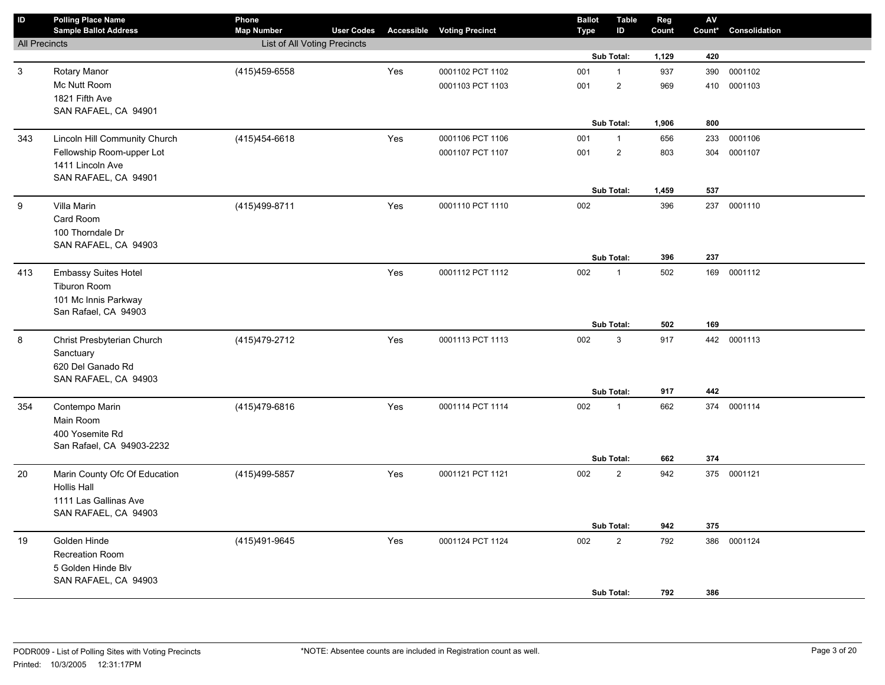| $\sf ID$             | <b>Polling Place Name</b><br><b>Sample Ballot Address</b> | Phone<br><b>Map Number</b>   | <b>User Codes</b> |     | <b>Accessible Voting Precinct</b> | <b>Ballot</b><br><b>Type</b> | <b>Table</b><br>ID | Reg<br>Count | ${\sf AV}$<br>Count* | Consolidation |
|----------------------|-----------------------------------------------------------|------------------------------|-------------------|-----|-----------------------------------|------------------------------|--------------------|--------------|----------------------|---------------|
| <b>All Precincts</b> |                                                           | List of All Voting Precincts |                   |     |                                   |                              |                    |              |                      |               |
|                      |                                                           |                              |                   |     |                                   |                              | Sub Total:         | 1,129        | 420                  |               |
| $\mathfrak{S}$       | Rotary Manor                                              | (415) 459-6558               |                   | Yes | 0001102 PCT 1102                  | 001                          | $\mathbf{1}$       | 937          | 390                  | 0001102       |
|                      | Mc Nutt Room                                              |                              |                   |     | 0001103 PCT 1103                  | 001                          | $\sqrt{2}$         | 969          | 410                  | 0001103       |
|                      | 1821 Fifth Ave                                            |                              |                   |     |                                   |                              |                    |              |                      |               |
|                      | SAN RAFAEL, CA 94901                                      |                              |                   |     |                                   |                              |                    |              |                      |               |
|                      |                                                           |                              |                   |     |                                   |                              | Sub Total:         | 1,906        | 800                  |               |
| 343                  | Lincoln Hill Community Church                             | (415) 454-6618               |                   | Yes | 0001106 PCT 1106                  | 001                          | $\mathbf{1}$       | 656          | 233                  | 0001106       |
|                      | Fellowship Room-upper Lot                                 |                              |                   |     | 0001107 PCT 1107                  | 001                          | $\overline{2}$     | 803          | 304                  | 0001107       |
|                      | 1411 Lincoln Ave                                          |                              |                   |     |                                   |                              |                    |              |                      |               |
|                      | SAN RAFAEL, CA 94901                                      |                              |                   |     |                                   |                              | Sub Total:         |              | 537                  |               |
|                      |                                                           |                              |                   |     |                                   |                              |                    | 1,459        |                      |               |
| 9                    | Villa Marin                                               | (415)499-8711                |                   | Yes | 0001110 PCT 1110                  | 002                          |                    | 396          | 237                  | 0001110       |
|                      | Card Room<br>100 Thorndale Dr                             |                              |                   |     |                                   |                              |                    |              |                      |               |
|                      | SAN RAFAEL, CA 94903                                      |                              |                   |     |                                   |                              |                    |              |                      |               |
|                      |                                                           |                              |                   |     |                                   |                              | Sub Total:         | 396          | 237                  |               |
| 413                  | <b>Embassy Suites Hotel</b>                               |                              |                   | Yes | 0001112 PCT 1112                  | 002                          | $\mathbf{1}$       | 502          |                      | 169 0001112   |
|                      | Tiburon Room                                              |                              |                   |     |                                   |                              |                    |              |                      |               |
|                      | 101 Mc Innis Parkway                                      |                              |                   |     |                                   |                              |                    |              |                      |               |
|                      | San Rafael, CA 94903                                      |                              |                   |     |                                   |                              |                    |              |                      |               |
|                      |                                                           |                              |                   |     |                                   |                              | Sub Total:         | 502          | 169                  |               |
| 8                    | Christ Presbyterian Church                                | (415) 479-2712               |                   | Yes | 0001113 PCT 1113                  | 002                          | $\mathbf{3}$       | 917          |                      | 442 0001113   |
|                      | Sanctuary                                                 |                              |                   |     |                                   |                              |                    |              |                      |               |
|                      | 620 Del Ganado Rd                                         |                              |                   |     |                                   |                              |                    |              |                      |               |
|                      | SAN RAFAEL, CA 94903                                      |                              |                   |     |                                   |                              |                    |              |                      |               |
|                      |                                                           |                              |                   |     |                                   |                              | Sub Total:         | 917          | 442                  |               |
| 354                  | Contempo Marin                                            | (415) 479-6816               |                   | Yes | 0001114 PCT 1114                  | 002                          | $\mathbf{1}$       | 662          | 374                  | 0001114       |
|                      | Main Room                                                 |                              |                   |     |                                   |                              |                    |              |                      |               |
|                      | 400 Yosemite Rd                                           |                              |                   |     |                                   |                              |                    |              |                      |               |
|                      | San Rafael, CA 94903-2232                                 |                              |                   |     |                                   |                              | Sub Total:         | 662          | 374                  |               |
|                      |                                                           |                              |                   |     |                                   |                              |                    |              |                      |               |
| 20                   | Marin County Ofc Of Education<br><b>Hollis Hall</b>       | (415)499-5857                |                   | Yes | 0001121 PCT 1121                  | 002                          | $\overline{2}$     | 942          |                      | 375 0001121   |
|                      | 1111 Las Gallinas Ave                                     |                              |                   |     |                                   |                              |                    |              |                      |               |
|                      | SAN RAFAEL, CA 94903                                      |                              |                   |     |                                   |                              |                    |              |                      |               |
|                      |                                                           |                              |                   |     |                                   |                              | Sub Total:         | 942          | 375                  |               |
| 19                   | Golden Hinde                                              | (415)491-9645                |                   | Yes | 0001124 PCT 1124                  | 002                          | $\sqrt{2}$         | 792          | 386                  | 0001124       |
|                      | <b>Recreation Room</b>                                    |                              |                   |     |                                   |                              |                    |              |                      |               |
|                      | 5 Golden Hinde Blv                                        |                              |                   |     |                                   |                              |                    |              |                      |               |
|                      | SAN RAFAEL, CA 94903                                      |                              |                   |     |                                   |                              |                    |              |                      |               |
|                      |                                                           |                              |                   |     |                                   |                              | Sub Total:         | 792          | 386                  |               |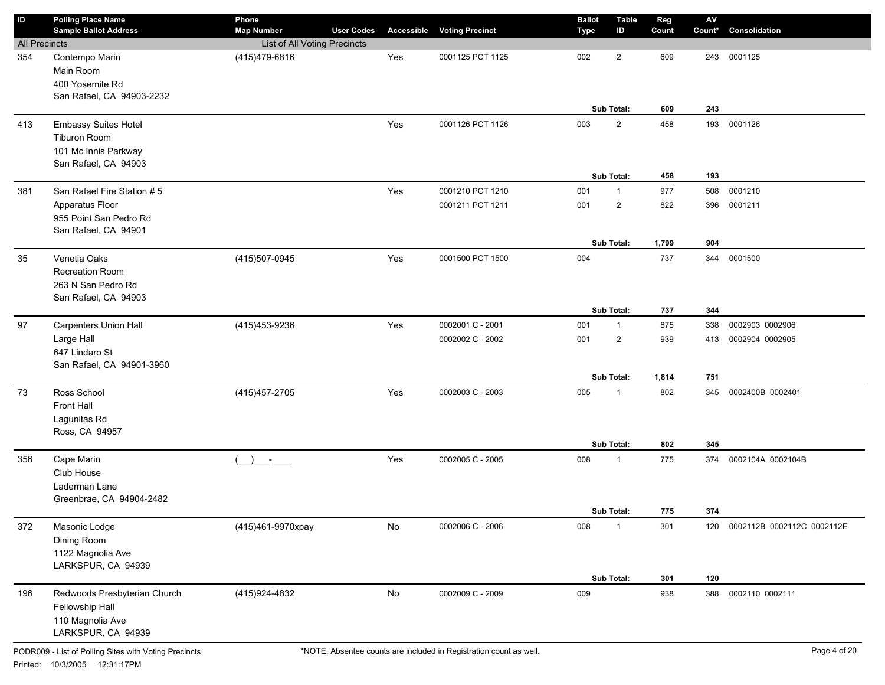| ID                   | <b>Polling Place Name</b><br><b>Sample Ballot Address</b> | Phone<br><b>Map Number</b>                | <b>User Codes</b> |               | <b>Accessible Voting Precinct</b> | <b>Ballot</b><br><b>Type</b> | <b>Table</b><br>ID | Reg<br>Count | $\mathsf{A}\mathsf{V}$<br>Count* | Consolidation              |
|----------------------|-----------------------------------------------------------|-------------------------------------------|-------------------|---------------|-----------------------------------|------------------------------|--------------------|--------------|----------------------------------|----------------------------|
| <b>All Precincts</b> |                                                           | List of All Voting Precincts              |                   |               |                                   |                              |                    |              |                                  |                            |
| 354                  | Contempo Marin                                            | (415)479-6816                             |                   | Yes           | 0001125 PCT 1125                  | 002                          | $\overline{2}$     | 609          | 243                              | 0001125                    |
|                      | Main Room                                                 |                                           |                   |               |                                   |                              |                    |              |                                  |                            |
|                      | 400 Yosemite Rd                                           |                                           |                   |               |                                   |                              |                    |              |                                  |                            |
|                      | San Rafael, CA 94903-2232                                 |                                           |                   |               |                                   |                              |                    |              |                                  |                            |
|                      |                                                           |                                           |                   |               |                                   |                              | Sub Total:         | 609          | 243                              |                            |
| 413                  | <b>Embassy Suites Hotel</b>                               |                                           |                   | Yes           | 0001126 PCT 1126                  | 003                          | $\overline{2}$     | 458          | 193                              | 0001126                    |
|                      | Tiburon Room                                              |                                           |                   |               |                                   |                              |                    |              |                                  |                            |
|                      | 101 Mc Innis Parkway                                      |                                           |                   |               |                                   |                              |                    |              |                                  |                            |
|                      | San Rafael, CA 94903                                      |                                           |                   |               |                                   |                              |                    |              |                                  |                            |
|                      |                                                           |                                           |                   |               |                                   |                              | Sub Total:         | 458          | 193                              |                            |
| 381                  | San Rafael Fire Station #5                                |                                           |                   | Yes           | 0001210 PCT 1210                  | 001                          | $\mathbf{1}$       | 977          | 508                              | 0001210                    |
|                      | Apparatus Floor                                           |                                           |                   |               | 0001211 PCT 1211                  | 001                          | $\overline{2}$     | 822          | 396                              | 0001211                    |
|                      | 955 Point San Pedro Rd                                    |                                           |                   |               |                                   |                              |                    |              |                                  |                            |
|                      | San Rafael, CA 94901                                      |                                           |                   |               |                                   |                              |                    |              |                                  |                            |
|                      |                                                           |                                           |                   |               |                                   |                              | Sub Total:         | 1,799        | 904                              |                            |
| 35                   | Venetia Oaks                                              | (415)507-0945                             |                   | Yes           | 0001500 PCT 1500                  | 004                          |                    | 737          | 344                              | 0001500                    |
|                      | Recreation Room                                           |                                           |                   |               |                                   |                              |                    |              |                                  |                            |
|                      | 263 N San Pedro Rd                                        |                                           |                   |               |                                   |                              |                    |              |                                  |                            |
|                      | San Rafael, CA 94903                                      |                                           |                   |               |                                   |                              |                    |              |                                  |                            |
|                      |                                                           |                                           |                   |               |                                   |                              | Sub Total:         | 737          | 344                              |                            |
| 97                   | <b>Carpenters Union Hall</b>                              | (415) 453-9236                            |                   | Yes           | 0002001 C - 2001                  | 001                          | $\mathbf{1}$       | 875          | 338                              | 0002903 0002906            |
|                      | Large Hall                                                |                                           |                   |               | 0002002 C - 2002                  | 001                          | $\overline{2}$     | 939          | 413                              | 0002904 0002905            |
|                      | 647 Lindaro St                                            |                                           |                   |               |                                   |                              |                    |              |                                  |                            |
|                      | San Rafael, CA 94901-3960                                 |                                           |                   |               |                                   |                              |                    |              |                                  |                            |
|                      |                                                           |                                           |                   |               |                                   |                              | Sub Total:         | 1,814        | 751                              |                            |
| 73                   | Ross School                                               | (415) 457-2705                            |                   | Yes           | 0002003 C - 2003                  | 005                          | $\mathbf{1}$       | 802          | 345                              | 0002400B 0002401           |
|                      | Front Hall                                                |                                           |                   |               |                                   |                              |                    |              |                                  |                            |
|                      | Lagunitas Rd                                              |                                           |                   |               |                                   |                              |                    |              |                                  |                            |
|                      | Ross, CA 94957                                            |                                           |                   |               |                                   |                              |                    |              |                                  |                            |
|                      |                                                           |                                           |                   |               |                                   |                              | Sub Total:         | 802          | 345                              |                            |
| 356                  | Cape Marin                                                | $\rightarrow$<br>$\sim 1000$ km s $^{-1}$ |                   | Yes           | 0002005 C - 2005                  | 008                          | $\mathbf{1}$       | 775          | 374                              | 0002104A 0002104B          |
|                      | Club House                                                |                                           |                   |               |                                   |                              |                    |              |                                  |                            |
|                      | Laderman Lane                                             |                                           |                   |               |                                   |                              |                    |              |                                  |                            |
|                      | Greenbrae, CA 94904-2482                                  |                                           |                   |               |                                   |                              |                    |              |                                  |                            |
|                      |                                                           |                                           |                   |               |                                   |                              | Sub Total:         | 775          | 374                              |                            |
| 372                  | Masonic Lodge                                             | (415)461-9970xpay                         |                   | $\mathsf{No}$ | 0002006 C - 2006                  | 008                          | $\mathbf{1}$       | 301          | 120                              | 0002112B 0002112C 0002112E |
|                      | Dining Room                                               |                                           |                   |               |                                   |                              |                    |              |                                  |                            |
|                      | 1122 Magnolia Ave                                         |                                           |                   |               |                                   |                              |                    |              |                                  |                            |
|                      | LARKSPUR, CA 94939                                        |                                           |                   |               |                                   |                              |                    |              |                                  |                            |
|                      |                                                           |                                           |                   |               |                                   |                              | Sub Total:         | 301          | 120                              |                            |
| 196                  | Redwoods Presbyterian Church                              | (415)924-4832                             |                   | No            | 0002009 C - 2009                  | 009                          |                    | 938          | 388                              | 0002110 0002111            |
|                      | Fellowship Hall                                           |                                           |                   |               |                                   |                              |                    |              |                                  |                            |
|                      | 110 Magnolia Ave                                          |                                           |                   |               |                                   |                              |                    |              |                                  |                            |
|                      | LARKSPUR, CA 94939                                        |                                           |                   |               |                                   |                              |                    |              |                                  |                            |
|                      |                                                           |                                           |                   |               |                                   |                              |                    |              |                                  |                            |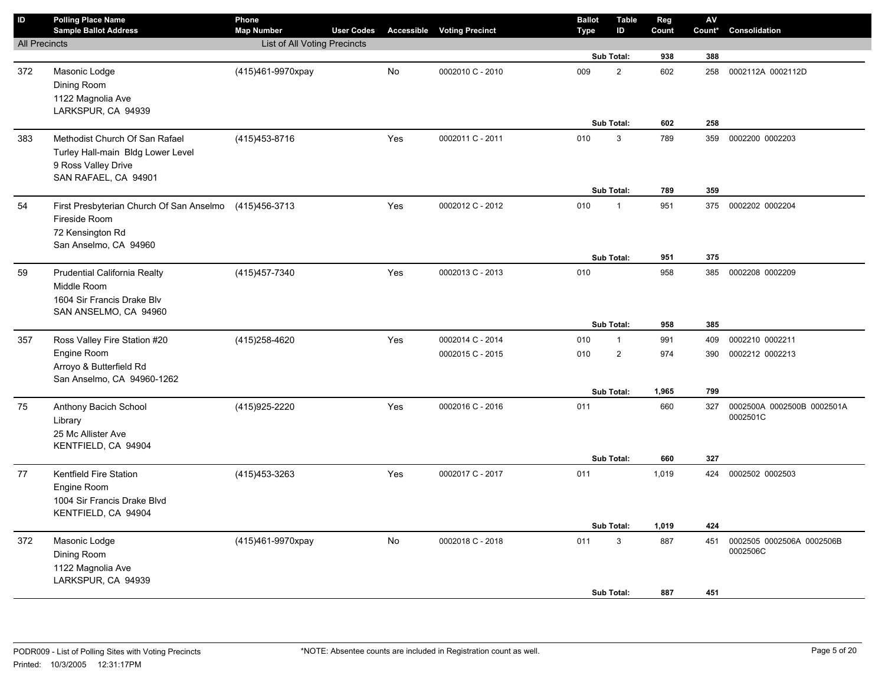| $\mathsf{ID}$        | <b>Polling Place Name</b><br><b>Sample Ballot Address</b>                                                          | Phone<br><b>Map Number</b>   | <b>User Codes</b> |     | <b>Accessible Voting Precinct</b> | <b>Ballot</b><br><b>Type</b> | <b>Table</b><br>ID      | Reg<br>Count | AV<br>Count* | Consolidation                          |
|----------------------|--------------------------------------------------------------------------------------------------------------------|------------------------------|-------------------|-----|-----------------------------------|------------------------------|-------------------------|--------------|--------------|----------------------------------------|
| <b>All Precincts</b> |                                                                                                                    | List of All Voting Precincts |                   |     |                                   |                              |                         |              |              |                                        |
|                      |                                                                                                                    |                              |                   |     |                                   |                              | Sub Total:              | 938          | 388          |                                        |
| 372                  | Masonic Lodge<br>Dining Room<br>1122 Magnolia Ave                                                                  | (415)461-9970xpay            |                   | No  | 0002010 C - 2010                  | 009                          | $\overline{2}$          | 602          | 258          | 0002112A 0002112D                      |
|                      | LARKSPUR, CA 94939                                                                                                 |                              |                   |     |                                   |                              |                         |              |              |                                        |
|                      |                                                                                                                    |                              |                   |     |                                   |                              | <b>Sub Total:</b>       | 602          | 258          |                                        |
| 383                  | Methodist Church Of San Rafael<br>Turley Hall-main Bldg Lower Level<br>9 Ross Valley Drive<br>SAN RAFAEL, CA 94901 | (415) 453-8716               |                   | Yes | 0002011 C - 2011                  | 010                          | 3<br>Sub Total:         | 789<br>789   | 359<br>359   | 0002200 0002203                        |
|                      |                                                                                                                    |                              |                   |     |                                   |                              |                         |              |              |                                        |
| 54                   | First Presbyterian Church Of San Anselmo<br>Fireside Room<br>72 Kensington Rd<br>San Anselmo, CA 94960             | (415)456-3713                |                   | Yes | 0002012 C - 2012                  | 010                          | $\mathbf{1}$            | 951          | 375          | 0002202 0002204                        |
|                      |                                                                                                                    |                              |                   |     |                                   |                              | Sub Total:              | 951          | 375          |                                        |
| 59                   | Prudential California Realty<br>Middle Room<br>1604 Sir Francis Drake Blv<br>SAN ANSELMO, CA 94960                 | (415) 457-7340               |                   | Yes | 0002013 C - 2013                  | 010                          | Sub Total:              | 958<br>958   | 385<br>385   | 0002208 0002209                        |
| 357                  | Ross Valley Fire Station #20                                                                                       | (415) 258-4620               |                   | Yes | 0002014 C - 2014                  | 010                          | $\mathbf{1}$            | 991          | 409          | 0002210 0002211                        |
|                      | Engine Room<br>Arroyo & Butterfield Rd<br>San Anselmo, CA 94960-1262                                               |                              |                   |     | 0002015 C - 2015                  | 010                          | $\overline{\mathbf{c}}$ | 974          | 390          | 0002212 0002213                        |
|                      |                                                                                                                    |                              |                   |     |                                   |                              | Sub Total:              | 1,965        | 799          |                                        |
| 75                   | Anthony Bacich School<br>Library<br>25 Mc Allister Ave<br>KENTFIELD, CA 94904                                      | (415) 925-2220               |                   | Yes | 0002016 C - 2016                  | 011                          | Sub Total:              | 660<br>660   | 327<br>327   | 0002500A 0002500B 0002501A<br>0002501C |
| 77                   | Kentfield Fire Station                                                                                             | (415) 453-3263               |                   | Yes | 0002017 C - 2017                  | 011                          |                         | 1,019        |              | 424 0002502 0002503                    |
|                      | Engine Room<br>1004 Sir Francis Drake Blvd<br>KENTFIELD, CA 94904                                                  |                              |                   |     |                                   |                              |                         |              |              |                                        |
|                      |                                                                                                                    |                              |                   |     |                                   |                              | Sub Total:              | 1,019        | 424          |                                        |
| 372                  | Masonic Lodge<br>Dining Room<br>1122 Magnolia Ave<br>LARKSPUR, CA 94939                                            | (415)461-9970xpay            |                   | No  | 0002018 C - 2018                  | 011                          | 3<br><b>Sub Total:</b>  | 887<br>887   | 451<br>451   | 0002505 0002506A 0002506B<br>0002506C  |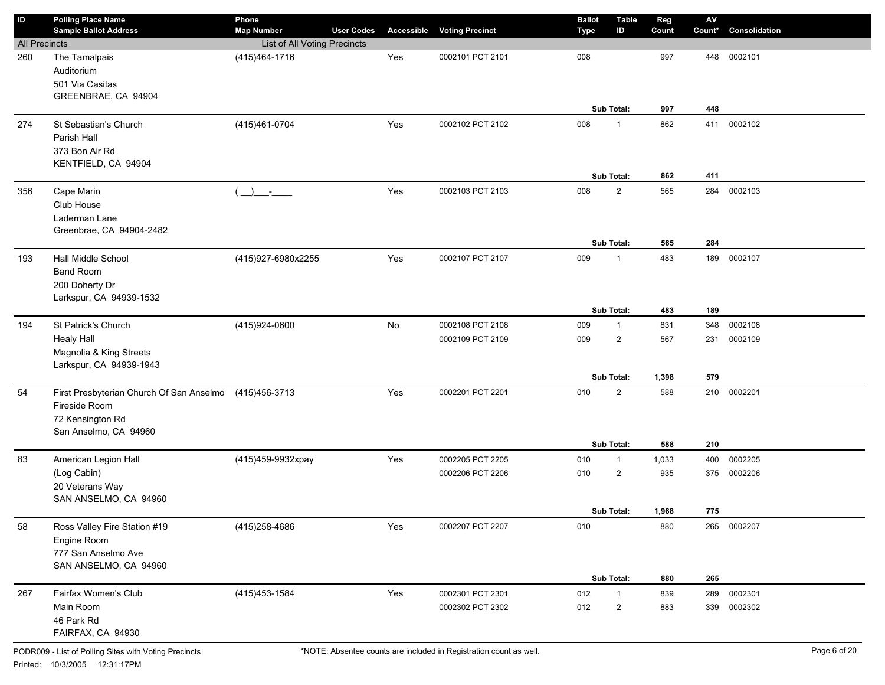| $\sf ID$             | <b>Polling Place Name</b><br><b>Sample Ballot Address</b>                                              | Phone<br><b>Map Number</b>   | <b>User Codes</b> |     | <b>Accessible Voting Precinct</b>    | <b>Ballot</b><br><b>Type</b> | <b>Table</b><br>ID             | Reg<br>Count | ${\sf AV}$<br>Count* | Consolidation |
|----------------------|--------------------------------------------------------------------------------------------------------|------------------------------|-------------------|-----|--------------------------------------|------------------------------|--------------------------------|--------------|----------------------|---------------|
| <b>All Precincts</b> |                                                                                                        | List of All Voting Precincts |                   |     |                                      |                              |                                |              |                      |               |
| 260                  | The Tamalpais<br>Auditorium<br>501 Via Casitas<br>GREENBRAE, CA 94904                                  | (415) 464-1716               |                   | Yes | 0002101 PCT 2101                     | 008                          | Sub Total:                     | 997<br>997   | 448<br>448           | 0002101       |
| 274                  | St Sebastian's Church                                                                                  | (415)461-0704                |                   | Yes | 0002102 PCT 2102                     | 008                          | $\mathbf{1}$                   | 862          | 411                  | 0002102       |
|                      | Parish Hall<br>373 Bon Air Rd<br>KENTFIELD, CA 94904                                                   |                              |                   |     |                                      |                              | Sub Total:                     | 862          | 411                  |               |
| 356                  | Cape Marin                                                                                             | $\rightarrow$<br><u>an A</u> |                   | Yes | 0002103 PCT 2103                     | 008                          | $\overline{2}$                 | 565          | 284                  | 0002103       |
|                      | Club House<br>Laderman Lane<br>Greenbrae, CA 94904-2482                                                |                              |                   |     |                                      |                              | Sub Total:                     | 565          | 284                  |               |
| 193                  | Hall Middle School                                                                                     | (415)927-6980x2255           |                   | Yes | 0002107 PCT 2107                     | 009                          | $\mathbf{1}$                   | 483          | 189                  | 0002107       |
|                      | <b>Band Room</b><br>200 Doherty Dr<br>Larkspur, CA 94939-1532                                          |                              |                   |     |                                      |                              |                                |              |                      |               |
|                      |                                                                                                        |                              |                   |     |                                      |                              | Sub Total:                     | 483          | 189                  |               |
| 194                  | St Patrick's Church                                                                                    | (415)924-0600                |                   | No  | 0002108 PCT 2108                     | 009                          | $\mathbf{1}$                   | 831          | 348                  | 0002108       |
|                      | <b>Healy Hall</b><br>Magnolia & King Streets<br>Larkspur, CA 94939-1943                                |                              |                   |     | 0002109 PCT 2109                     | 009                          | $\overline{2}$                 | 567          | 231                  | 0002109       |
|                      |                                                                                                        |                              |                   |     |                                      |                              | Sub Total:                     | 1,398        | 579                  |               |
| 54                   | First Presbyterian Church Of San Anselmo<br>Fireside Room<br>72 Kensington Rd<br>San Anselmo, CA 94960 | (415) 456-3713               |                   | Yes | 0002201 PCT 2201                     | 010                          | $\overline{2}$                 | 588          | 210                  | 0002201       |
|                      |                                                                                                        |                              |                   |     |                                      |                              | Sub Total:                     | 588          | 210                  | 0002205       |
| 83                   | American Legion Hall                                                                                   | (415)459-9932xpay            |                   | Yes | 0002205 PCT 2205<br>0002206 PCT 2206 | 010<br>010                   | $\mathbf{1}$<br>$\overline{2}$ | 1,033<br>935 | 400                  | 375 0002206   |
|                      | (Log Cabin)<br>20 Veterans Way<br>SAN ANSELMO, CA 94960                                                |                              |                   |     |                                      |                              |                                |              |                      |               |
|                      |                                                                                                        |                              |                   |     |                                      |                              | Sub Total:                     | 1,968        | 775                  |               |
| 58                   | Ross Valley Fire Station #19<br>Engine Room<br>777 San Anselmo Ave<br>SAN ANSELMO, CA 94960            | (415) 258-4686               |                   | Yes | 0002207 PCT 2207                     | 010                          |                                | 880          |                      | 265 0002207   |
|                      |                                                                                                        |                              |                   |     |                                      |                              | Sub Total:                     | 880          | 265                  |               |
| 267                  | Fairfax Women's Club                                                                                   | (415) 453-1584               |                   | Yes | 0002301 PCT 2301                     | 012                          | $\mathbf{1}$                   | 839          | 289                  | 0002301       |
|                      | Main Room<br>46 Park Rd<br>FAIRFAX, CA 94930                                                           |                              |                   |     | 0002302 PCT 2302                     | 012                          | $\overline{c}$                 | 883          | 339                  | 0002302       |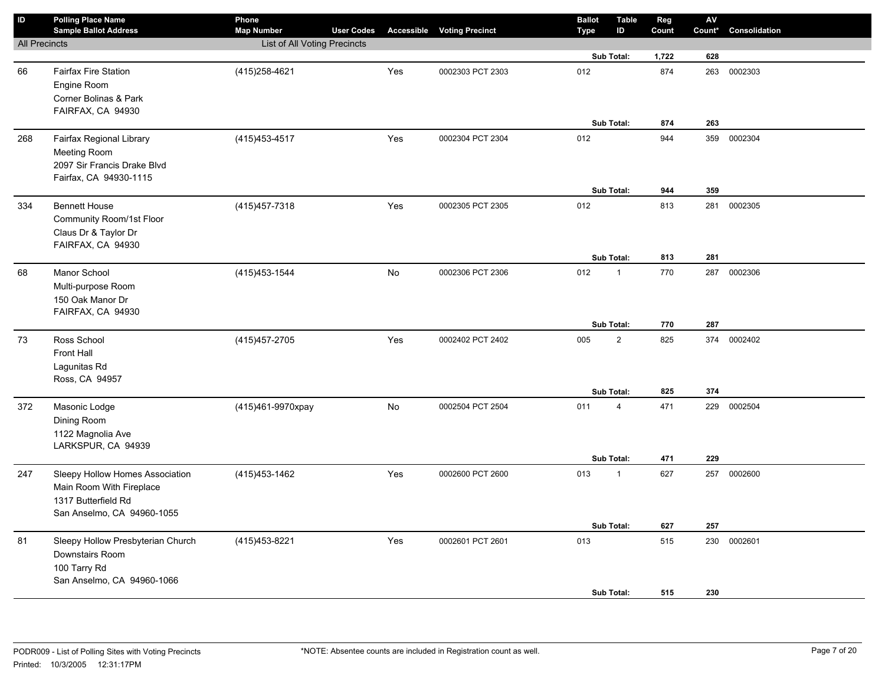| $\sf ID$             | <b>Polling Place Name</b><br><b>Sample Ballot Address</b> | Phone<br><b>Map Number</b>   | <b>User Codes</b> |     | <b>Accessible Voting Precinct</b> | <b>Ballot</b><br><b>Type</b> | <b>Table</b><br>ID      | Reg<br>Count | AV<br>Count* | Consolidation |
|----------------------|-----------------------------------------------------------|------------------------------|-------------------|-----|-----------------------------------|------------------------------|-------------------------|--------------|--------------|---------------|
| <b>All Precincts</b> |                                                           | List of All Voting Precincts |                   |     |                                   |                              |                         |              |              |               |
|                      |                                                           |                              |                   |     |                                   |                              | Sub Total:              | 1,722        | 628          |               |
| 66                   | <b>Fairfax Fire Station</b>                               | (415) 258-4621               |                   | Yes | 0002303 PCT 2303                  | 012                          |                         | 874          | 263          | 0002303       |
|                      | Engine Room                                               |                              |                   |     |                                   |                              |                         |              |              |               |
|                      | Corner Bolinas & Park                                     |                              |                   |     |                                   |                              |                         |              |              |               |
|                      | FAIRFAX, CA 94930                                         |                              |                   |     |                                   |                              |                         |              |              |               |
|                      |                                                           |                              |                   |     |                                   |                              | Sub Total:              | 874          | 263          |               |
| 268                  | Fairfax Regional Library                                  | (415) 453-4517               |                   | Yes | 0002304 PCT 2304                  | 012                          |                         | 944          |              | 359 0002304   |
|                      | <b>Meeting Room</b><br>2097 Sir Francis Drake Blvd        |                              |                   |     |                                   |                              |                         |              |              |               |
|                      | Fairfax, CA 94930-1115                                    |                              |                   |     |                                   |                              |                         |              |              |               |
|                      |                                                           |                              |                   |     |                                   |                              | Sub Total:              | 944          | 359          |               |
| 334                  | <b>Bennett House</b>                                      | (415) 457-7318               |                   | Yes | 0002305 PCT 2305                  | 012                          |                         | 813          | 281          | 0002305       |
|                      | Community Room/1st Floor                                  |                              |                   |     |                                   |                              |                         |              |              |               |
|                      | Claus Dr & Taylor Dr                                      |                              |                   |     |                                   |                              |                         |              |              |               |
|                      | FAIRFAX, CA 94930                                         |                              |                   |     |                                   |                              |                         |              |              |               |
|                      |                                                           |                              |                   |     |                                   |                              | Sub Total:              | 813          | 281          |               |
| 68                   | Manor School                                              | (415) 453-1544               |                   | No  | 0002306 PCT 2306                  | 012                          | $\mathbf{1}$            | 770          | 287          | 0002306       |
|                      | Multi-purpose Room                                        |                              |                   |     |                                   |                              |                         |              |              |               |
|                      | 150 Oak Manor Dr                                          |                              |                   |     |                                   |                              |                         |              |              |               |
|                      | FAIRFAX, CA 94930                                         |                              |                   |     |                                   |                              | Sub Total:              | 770          | 287          |               |
|                      | Ross School                                               | (415) 457-2705               |                   | Yes | 0002402 PCT 2402                  | 005                          | $\sqrt{2}$              | 825          | 374          | 0002402       |
| 73                   | <b>Front Hall</b>                                         |                              |                   |     |                                   |                              |                         |              |              |               |
|                      | Lagunitas Rd                                              |                              |                   |     |                                   |                              |                         |              |              |               |
|                      | Ross, CA 94957                                            |                              |                   |     |                                   |                              |                         |              |              |               |
|                      |                                                           |                              |                   |     |                                   |                              | Sub Total:              | 825          | 374          |               |
| 372                  | Masonic Lodge                                             | (415)461-9970xpay            |                   | No  | 0002504 PCT 2504                  | 011                          | $\overline{\mathbf{4}}$ | 471          | 229          | 0002504       |
|                      | Dining Room                                               |                              |                   |     |                                   |                              |                         |              |              |               |
|                      | 1122 Magnolia Ave                                         |                              |                   |     |                                   |                              |                         |              |              |               |
|                      | LARKSPUR, CA 94939                                        |                              |                   |     |                                   |                              |                         |              |              |               |
|                      |                                                           |                              |                   |     |                                   |                              | Sub Total:              | 471          | 229          |               |
| 247                  | Sleepy Hollow Homes Association                           | (415) 453-1462               |                   | Yes | 0002600 PCT 2600                  | 013                          | $\mathbf{1}$            | 627          | 257          | 0002600       |
|                      | Main Room With Fireplace                                  |                              |                   |     |                                   |                              |                         |              |              |               |
|                      | 1317 Butterfield Rd                                       |                              |                   |     |                                   |                              |                         |              |              |               |
|                      | San Anselmo, CA 94960-1055                                |                              |                   |     |                                   |                              | Sub Total:              | 627          | 257          |               |
|                      | Sleepy Hollow Presbyterian Church                         |                              |                   | Yes | 0002601 PCT 2601                  | 013                          |                         | 515          | 230          | 0002601       |
| 81                   | Downstairs Room                                           | (415) 453-8221               |                   |     |                                   |                              |                         |              |              |               |
|                      | 100 Tarry Rd                                              |                              |                   |     |                                   |                              |                         |              |              |               |
|                      | San Anselmo, CA 94960-1066                                |                              |                   |     |                                   |                              |                         |              |              |               |
|                      |                                                           |                              |                   |     |                                   |                              | Sub Total:              | 515          | 230          |               |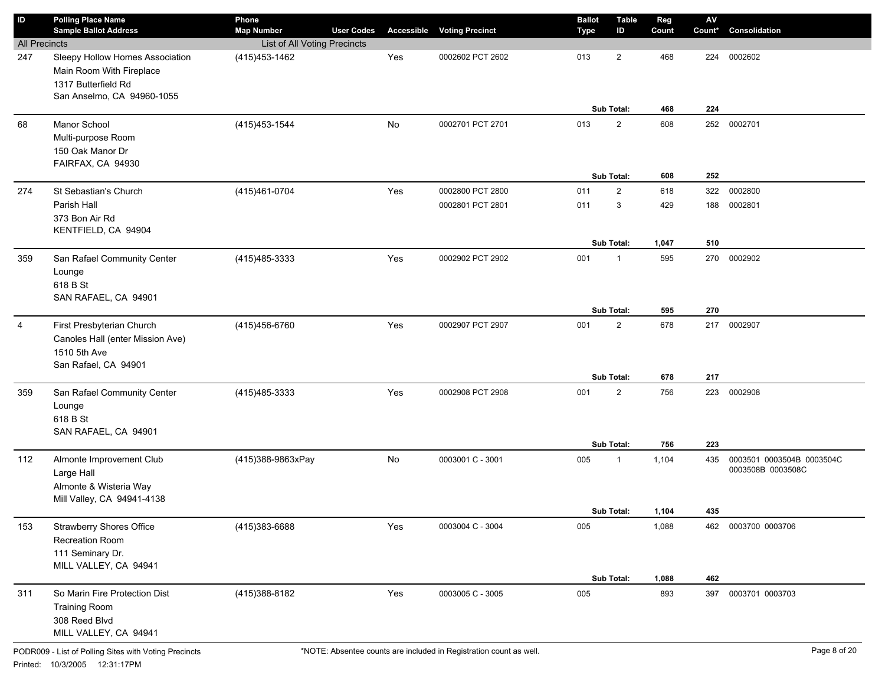| $\sf ID$             | <b>Polling Place Name</b><br><b>Sample Ballot Address</b>                                                        | Phone<br><b>Map Number</b>   | <b>User Codes</b> |     | <b>Accessible Voting Precinct</b> | <b>Ballot</b><br><b>Type</b> | <b>Table</b><br>ID           | Reg<br>Count   | $\mathsf{AV}$<br>Count* | Consolidation                                  |
|----------------------|------------------------------------------------------------------------------------------------------------------|------------------------------|-------------------|-----|-----------------------------------|------------------------------|------------------------------|----------------|-------------------------|------------------------------------------------|
| <b>All Precincts</b> |                                                                                                                  | List of All Voting Precincts |                   |     |                                   |                              |                              |                |                         |                                                |
| 247                  | Sleepy Hollow Homes Association<br>Main Room With Fireplace<br>1317 Butterfield Rd<br>San Anselmo, CA 94960-1055 | (415) 453-1462               |                   | Yes | 0002602 PCT 2602                  | 013                          | $\overline{2}$<br>Sub Total: | 468<br>468     | 224<br>224              | 0002602                                        |
| 68                   | Manor School<br>Multi-purpose Room<br>150 Oak Manor Dr<br>FAIRFAX, CA 94930                                      | (415) 453-1544               |                   | No  | 0002701 PCT 2701                  | 013                          | $\overline{2}$<br>Sub Total: | 608<br>608     | 252<br>252              | 0002701                                        |
| 274                  | St Sebastian's Church                                                                                            | (415) 461-0704               |                   | Yes | 0002800 PCT 2800                  | 011                          | $\overline{2}$               | 618            | 322                     | 0002800                                        |
|                      | Parish Hall<br>373 Bon Air Rd<br>KENTFIELD, CA 94904                                                             |                              |                   |     | 0002801 PCT 2801                  | 011                          | 3<br>Sub Total:              | 429<br>1,047   | 188<br>510              | 0002801                                        |
|                      |                                                                                                                  |                              |                   |     |                                   |                              |                              |                |                         |                                                |
| 359                  | San Rafael Community Center<br>Lounge<br>618 B St<br>SAN RAFAEL, CA 94901                                        | (415) 485-3333               |                   | Yes | 0002902 PCT 2902                  | 001                          | $\mathbf{1}$<br>Sub Total:   | 595<br>595     | 270<br>270              | 0002902                                        |
| $\overline{4}$       | First Presbyterian Church<br>Canoles Hall (enter Mission Ave)<br>1510 5th Ave<br>San Rafael, CA 94901            | (415) 456-6760               |                   | Yes | 0002907 PCT 2907                  | 001                          | $\overline{2}$<br>Sub Total: | 678            | 217<br>217              | 0002907                                        |
|                      |                                                                                                                  |                              |                   |     |                                   |                              |                              | 678            |                         |                                                |
| 359                  | San Rafael Community Center<br>Lounge<br>618 B St<br>SAN RAFAEL, CA 94901                                        | (415) 485-3333               |                   | Yes | 0002908 PCT 2908                  | 001                          | $\overline{2}$<br>Sub Total: | 756<br>756     | 223<br>223              | 0002908                                        |
| 112                  | Almonte Improvement Club<br>Large Hall<br>Almonte & Wisteria Way<br>Mill Valley, CA 94941-4138                   | (415)388-9863xPay            |                   | No  | 0003001 C - 3001                  | 005                          | $\mathbf{1}$                 | 1,104          | 435                     | 0003501 0003504B 0003504C<br>0003508B 0003508C |
|                      |                                                                                                                  |                              |                   |     |                                   |                              | Sub Total:                   | 1,104          | 435                     |                                                |
| 153                  | <b>Strawberry Shores Office</b><br>Recreation Room<br>111 Seminary Dr.<br>MILL VALLEY, CA 94941                  | (415)383-6688                |                   | Yes | 0003004 C - 3004                  | 005                          | Sub Total:                   | 1,088<br>1,088 | 462                     | 462 0003700 0003706                            |
| 311                  | So Marin Fire Protection Dist                                                                                    | (415)388-8182                |                   | Yes | 0003005 C - 3005                  | 005                          |                              | 893            | 397                     | 0003701 0003703                                |
|                      | <b>Training Room</b><br>308 Reed Blvd<br>MILL VALLEY, CA 94941                                                   |                              |                   |     |                                   |                              |                              |                |                         |                                                |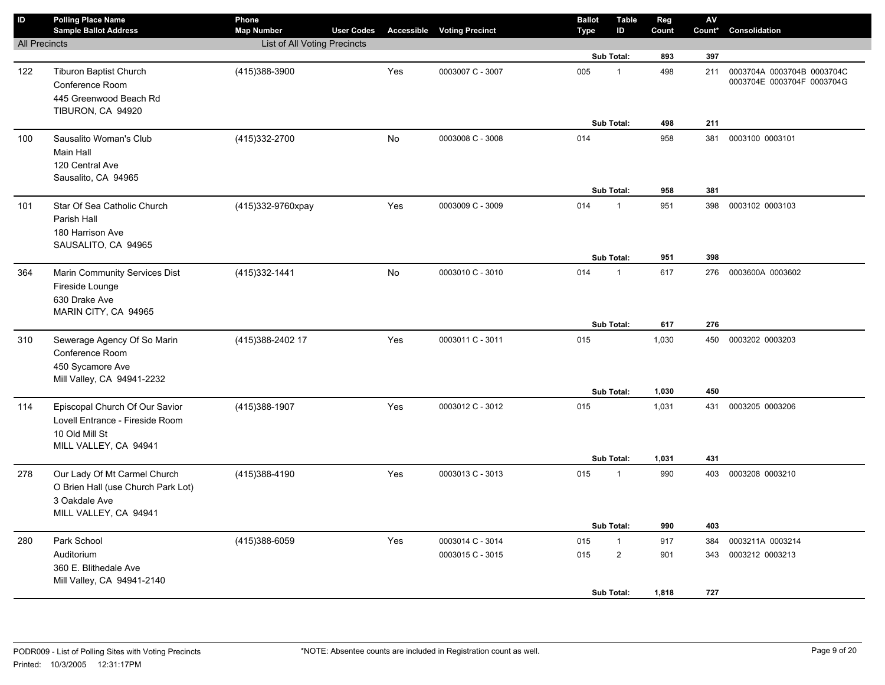| $\mathsf{ID}$        | <b>Polling Place Name</b><br><b>Sample Ballot Address</b>                                                    | Phone<br><b>Map Number</b>   | <b>User Codes</b> |     | <b>Accessible Voting Precinct</b> | <b>Ballot</b><br><b>Type</b> | <b>Table</b><br>ID | Reg<br>Count   | AV<br>Count* | Consolidation                                            |
|----------------------|--------------------------------------------------------------------------------------------------------------|------------------------------|-------------------|-----|-----------------------------------|------------------------------|--------------------|----------------|--------------|----------------------------------------------------------|
| <b>All Precincts</b> |                                                                                                              | List of All Voting Precincts |                   |     |                                   |                              |                    |                |              |                                                          |
|                      |                                                                                                              |                              |                   |     |                                   |                              | Sub Total:         | 893            | 397          |                                                          |
| 122                  | Tiburon Baptist Church<br>Conference Room<br>445 Greenwood Beach Rd                                          | (415)388-3900                |                   | Yes | 0003007 C - 3007                  | 005                          | $\mathbf{1}$       | 498            | 211          | 0003704A 0003704B 0003704C<br>0003704E 0003704F 0003704G |
|                      | TIBURON, CA 94920                                                                                            |                              |                   |     |                                   |                              |                    |                |              |                                                          |
| 100                  | Sausalito Woman's Club<br>Main Hall<br>120 Central Ave                                                       | (415) 332-2700               |                   | No  | 0003008 C - 3008                  | 014                          | Sub Total:         | 498<br>958     | 211<br>381   | 0003100 0003101                                          |
|                      | Sausalito, CA 94965                                                                                          |                              |                   |     |                                   |                              | Sub Total:         | 958            | 381          |                                                          |
| 101                  | Star Of Sea Catholic Church<br>Parish Hall<br>180 Harrison Ave<br>SAUSALITO, CA 94965                        | (415)332-9760xpay            |                   | Yes | 0003009 C - 3009                  | 014                          | 1                  | 951            | 398          | 0003102 0003103                                          |
|                      |                                                                                                              |                              |                   |     |                                   |                              | <b>Sub Total:</b>  | 951            | 398          |                                                          |
| 364                  | Marin Community Services Dist<br>Fireside Lounge<br>630 Drake Ave<br>MARIN CITY, CA 94965                    | (415) 332-1441               |                   | No  | 0003010 C - 3010                  | 014                          | $\mathbf{1}$       | 617            | 276          | 0003600A 0003602                                         |
|                      |                                                                                                              |                              |                   |     |                                   |                              | Sub Total:         | 617            | 276          |                                                          |
| 310                  | Sewerage Agency Of So Marin<br>Conference Room<br>450 Sycamore Ave<br>Mill Valley, CA 94941-2232             | (415) 388-2402 17            |                   | Yes | 0003011 C - 3011                  | 015                          |                    | 1,030          | 450          | 0003202 0003203                                          |
|                      |                                                                                                              |                              |                   |     |                                   |                              | Sub Total:         | 1,030          | 450          |                                                          |
| 114                  | Episcopal Church Of Our Savior<br>Lovell Entrance - Fireside Room<br>10 Old Mill St<br>MILL VALLEY, CA 94941 | (415) 388-1907               |                   | Yes | 0003012 C - 3012                  | 015                          | Sub Total:         | 1,031<br>1,031 | 431<br>431   | 0003205 0003206                                          |
| 278                  | Our Lady Of Mt Carmel Church<br>O Brien Hall (use Church Park Lot)<br>3 Oakdale Ave<br>MILL VALLEY, CA 94941 | (415)388-4190                |                   | Yes | 0003013 C - 3013                  | 015                          | $\mathbf{1}$       | 990            | 403          | 0003208 0003210                                          |
|                      |                                                                                                              |                              |                   |     |                                   |                              | Sub Total:         | 990            | 403          |                                                          |
| 280                  | Park School                                                                                                  | (415)388-6059                |                   | Yes | 0003014 C - 3014                  | 015                          | $\mathbf{1}$       | 917            | 384          | 0003211A 0003214                                         |
|                      | Auditorium<br>360 E. Blithedale Ave<br>Mill Valley, CA 94941-2140                                            |                              |                   |     | 0003015 C - 3015                  | 015                          | $\overline{2}$     | 901            | 343          | 0003212 0003213                                          |
|                      |                                                                                                              |                              |                   |     |                                   |                              | <b>Sub Total:</b>  | 1,818          | 727          |                                                          |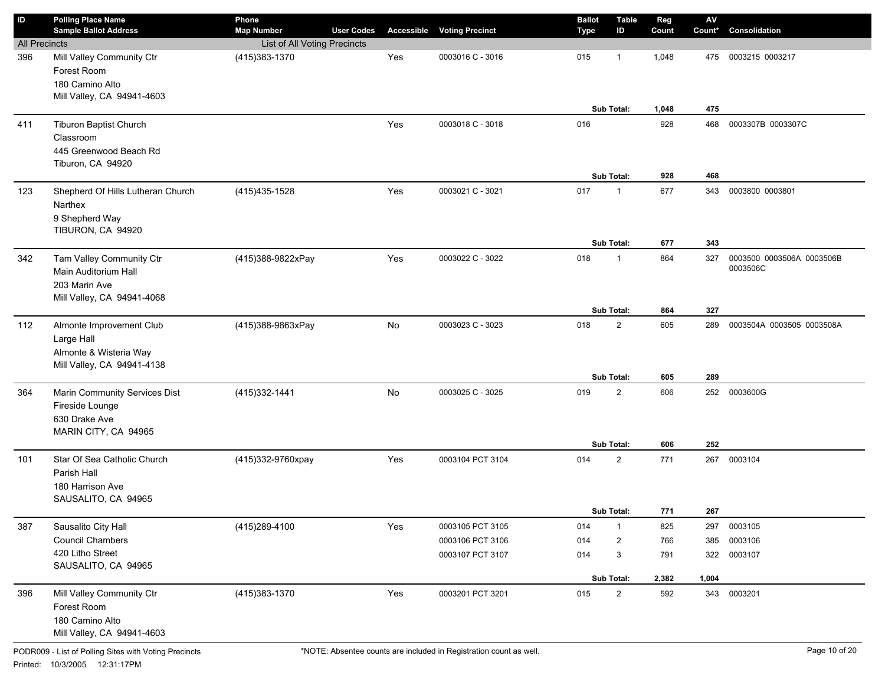| ID                   | <b>Polling Place Name</b><br><b>Sample Ballot Address</b>                                       | Phone<br><b>Map Number</b>   | <b>User Codes</b> |     | <b>Accessible Voting Precinct</b>                        | <b>Ballot</b><br>Type | <b>Table</b><br>ID                   | Reg<br>Count               | ${\sf AV}$<br>Count*       | Consolidation                         |
|----------------------|-------------------------------------------------------------------------------------------------|------------------------------|-------------------|-----|----------------------------------------------------------|-----------------------|--------------------------------------|----------------------------|----------------------------|---------------------------------------|
| <b>All Precincts</b> |                                                                                                 | List of All Voting Precincts |                   |     |                                                          |                       |                                      |                            |                            |                                       |
| 396                  | Mill Valley Community Ctr<br>Forest Room<br>180 Camino Alto<br>Mill Valley, CA 94941-4603       | (415) 383-1370               |                   | Yes | 0003016 C - 3016                                         | 015                   | -1<br>Sub Total:                     | 1,048<br>1,048             | 475<br>475                 | 0003215 0003217                       |
| 411                  | <b>Tiburon Baptist Church</b><br>Classroom<br>445 Greenwood Beach Rd<br>Tiburon, CA 94920       |                              |                   | Yes | 0003018 C - 3018                                         | 016                   | <b>Sub Total:</b>                    | 928<br>928                 | 468<br>468                 | 0003307B 0003307C                     |
| 123                  | Shepherd Of Hills Lutheran Church<br>Narthex<br>9 Shepherd Way<br>TIBURON, CA 94920             | (415) 435-1528               |                   | Yes | 0003021 C - 3021                                         | 017                   | $\mathbf{1}$<br>Sub Total:           | 677<br>677                 | 343<br>343                 | 0003800 0003801                       |
| 342                  | Tam Valley Community Ctr<br>Main Auditorium Hall<br>203 Marin Ave<br>Mill Valley, CA 94941-4068 | (415)388-9822xPay            |                   | Yes | 0003022 C - 3022                                         | 018                   | $\mathbf 1$<br><b>Sub Total:</b>     | 864<br>864                 | 327<br>327                 | 0003500 0003506A 0003506B<br>0003506C |
| 112                  | Almonte Improvement Club<br>Large Hall<br>Almonte & Wisteria Way<br>Mill Valley, CA 94941-4138  | (415)388-9863xPay            |                   | No  | 0003023 C - 3023                                         | 018                   | $\overline{2}$<br><b>Sub Total:</b>  | 605<br>605                 | 289<br>289                 | 0003504A 0003505 0003508A             |
| 364                  | Marin Community Services Dist<br>Fireside Lounge<br>630 Drake Ave<br>MARIN CITY, CA 94965       | (415) 332-1441               |                   | No  | 0003025 C - 3025                                         | 019                   | $\overline{2}$<br><b>Sub Total:</b>  | 606<br>606                 | 252<br>252                 | 0003600G                              |
| 101                  | Star Of Sea Catholic Church<br>Parish Hall<br>180 Harrison Ave<br>SAUSALITO, CA 94965           | (415)332-9760xpay            |                   | Yes | 0003104 PCT 3104                                         | 014                   | $\overline{2}$<br>Sub Total:         | 771<br>771                 | 267<br>267                 | 0003104                               |
| 387                  | Sausalito City Hall<br><b>Council Chambers</b><br>420 Litho Street<br>SAUSALITO, CA 94965       | (415) 289-4100               |                   | Yes | 0003105 PCT 3105<br>0003106 PCT 3106<br>0003107 PCT 3107 | 014<br>014<br>014     | $\mathbf{1}$<br>2<br>3<br>Sub Total: | 825<br>766<br>791<br>2,382 | 297<br>385<br>322<br>1,004 | 0003105<br>0003106<br>0003107         |
| 396                  | Mill Valley Community Ctr<br>Forest Room<br>180 Camino Alto<br>Mill Valley, CA 94941-4603       | (415) 383-1370               |                   | Yes | 0003201 PCT 3201                                         | 015                   | $\overline{2}$                       | 592                        |                            | 343 0003201                           |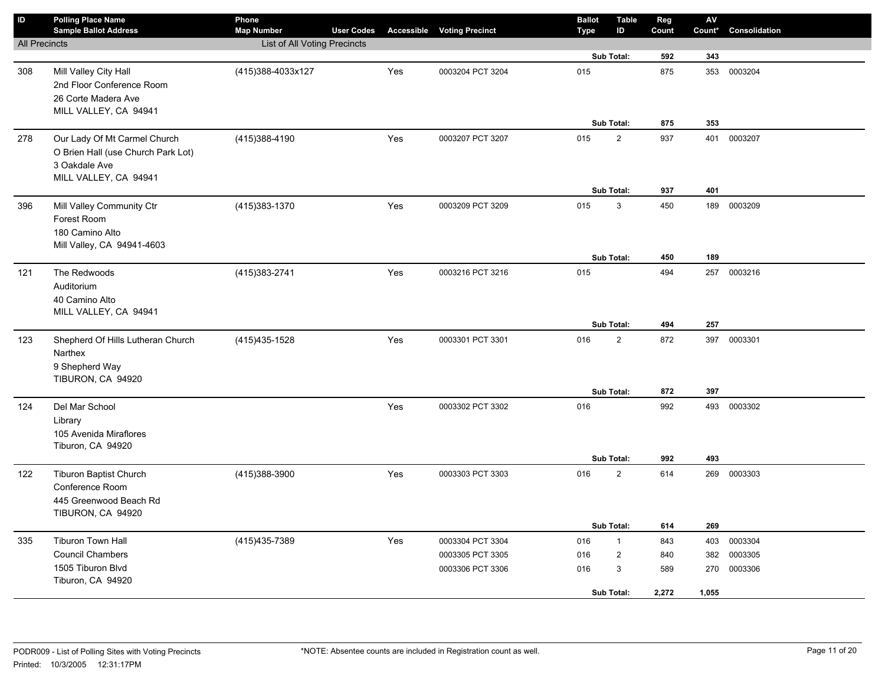| $\mathsf{ID}$        | <b>Polling Place Name</b><br><b>Sample Ballot Address</b>                                                    | Phone<br><b>Map Number</b>   | <b>User Codes</b> |     | <b>Accessible Voting Precinct</b>                        | <b>Ballot</b><br><b>Type</b> |            | <b>Table</b><br>ID               | Reg<br>Count               | ${\sf AV}$<br>Count*       | Consolidation                 |
|----------------------|--------------------------------------------------------------------------------------------------------------|------------------------------|-------------------|-----|----------------------------------------------------------|------------------------------|------------|----------------------------------|----------------------------|----------------------------|-------------------------------|
| <b>All Precincts</b> |                                                                                                              | List of All Voting Precincts |                   |     |                                                          |                              |            |                                  |                            |                            |                               |
|                      |                                                                                                              |                              |                   |     |                                                          |                              | Sub Total: |                                  | 592                        | 343                        |                               |
| 308                  | Mill Valley City Hall<br>2nd Floor Conference Room<br>26 Corte Madera Ave<br>MILL VALLEY, CA 94941           | (415)388-4033x127            |                   | Yes | 0003204 PCT 3204                                         | 015                          |            |                                  | 875                        | 353                        | 0003204                       |
|                      |                                                                                                              |                              |                   |     |                                                          |                              | Sub Total: |                                  | 875                        | 353                        |                               |
| 278                  | Our Lady Of Mt Carmel Church<br>O Brien Hall (use Church Park Lot)<br>3 Oakdale Ave<br>MILL VALLEY, CA 94941 | (415) 388-4190               |                   | Yes | 0003207 PCT 3207                                         | 015                          | Sub Total: | $\mathbf 2$                      | 937<br>937                 | 401<br>401                 | 0003207                       |
| 396                  | Mill Valley Community Ctr<br>Forest Room<br>180 Camino Alto<br>Mill Valley, CA 94941-4603                    | (415) 383-1370               |                   | Yes | 0003209 PCT 3209                                         | 015                          | Sub Total: | $\mathbf{3}$                     | 450<br>450                 | 189<br>189                 | 0003209                       |
| 121                  | The Redwoods                                                                                                 | (415) 383-2741               |                   | Yes | 0003216 PCT 3216                                         | 015                          |            |                                  | 494                        | 257                        | 0003216                       |
|                      | Auditorium<br>40 Camino Alto<br>MILL VALLEY, CA 94941                                                        |                              |                   |     |                                                          |                              | Sub Total: |                                  | 494                        | 257                        |                               |
| 123                  | Shepherd Of Hills Lutheran Church<br>Narthex<br>9 Shepherd Way<br>TIBURON, CA 94920                          | (415) 435-1528               |                   | Yes | 0003301 PCT 3301                                         | 016                          |            | $\mathbf 2$                      | 872                        | 397                        | 0003301                       |
|                      |                                                                                                              |                              |                   |     |                                                          |                              | Sub Total: |                                  | 872                        | 397                        |                               |
| 124                  | Del Mar School<br>Library<br>105 Avenida Miraflores<br>Tiburon, CA 94920                                     |                              |                   | Yes | 0003302 PCT 3302                                         | 016                          | Sub Total: |                                  | 992<br>992                 | 493<br>493                 | 0003302                       |
| 122                  | <b>Tiburon Baptist Church</b><br>Conference Room<br>445 Greenwood Beach Rd<br>TIBURON, CA 94920              | (415)388-3900                |                   | Yes | 0003303 PCT 3303                                         | 016                          |            | $\overline{2}$                   | 614                        |                            | 269 0003303                   |
|                      |                                                                                                              |                              |                   |     |                                                          |                              | Sub Total: |                                  | 614                        | 269                        |                               |
| 335                  | <b>Tiburon Town Hall</b><br><b>Council Chambers</b><br>1505 Tiburon Blvd<br>Tiburon, CA 94920                | (415) 435-7389               |                   | Yes | 0003304 PCT 3304<br>0003305 PCT 3305<br>0003306 PCT 3306 | 016<br>016<br>016            | Sub Total: | $\mathbf{1}$<br>$\mathbf 2$<br>3 | 843<br>840<br>589<br>2,272 | 403<br>382<br>270<br>1,055 | 0003304<br>0003305<br>0003306 |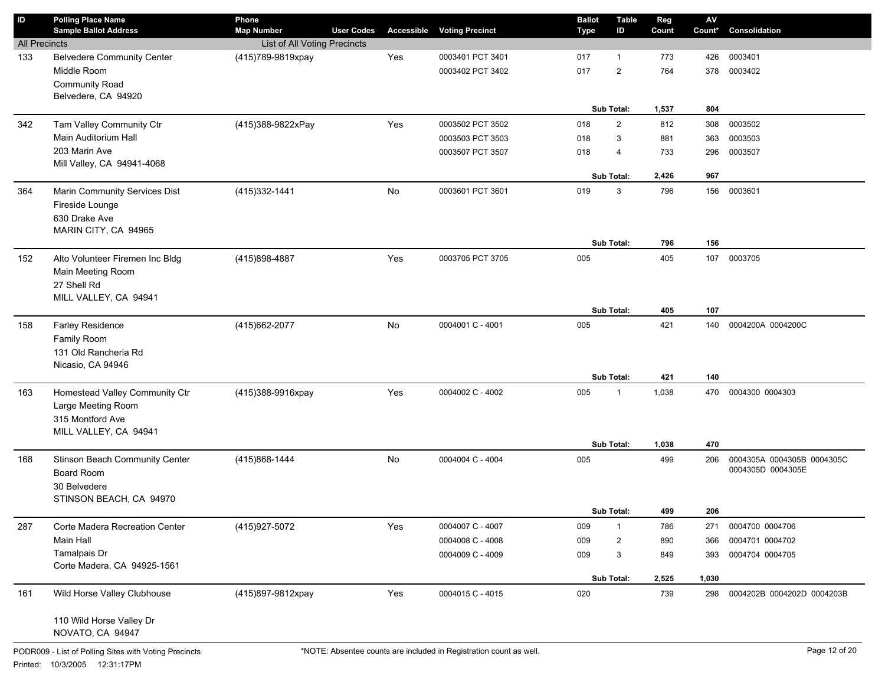| ID                   | <b>Polling Place Name</b>                   | Phone                        |                   |            |                        | <b>Ballot</b> | <b>Table</b>      | Reg   | ${\sf AV}$ |                                                 |
|----------------------|---------------------------------------------|------------------------------|-------------------|------------|------------------------|---------------|-------------------|-------|------------|-------------------------------------------------|
|                      | <b>Sample Ballot Address</b>                | <b>Map Number</b>            | <b>User Codes</b> | Accessible | <b>Voting Precinct</b> | Type          | ID                | Count | Count*     | Consolidation                                   |
| <b>All Precincts</b> |                                             | List of All Voting Precincts |                   |            |                        |               |                   |       |            |                                                 |
| 133                  | <b>Belvedere Community Center</b>           | (415)789-9819xpay            |                   | Yes        | 0003401 PCT 3401       | 017           | $\mathbf{1}$      | 773   | 426        | 0003401                                         |
|                      | Middle Room<br><b>Community Road</b>        |                              |                   |            | 0003402 PCT 3402       | 017           | $\overline{2}$    | 764   | 378        | 0003402                                         |
|                      | Belvedere, CA 94920                         |                              |                   |            |                        |               |                   |       |            |                                                 |
|                      |                                             |                              |                   |            |                        |               | <b>Sub Total:</b> | 1,537 | 804        |                                                 |
| 342                  | Tam Valley Community Ctr                    | (415)388-9822xPay            |                   | Yes        | 0003502 PCT 3502       | 018           | $\overline{2}$    | 812   | 308        | 0003502                                         |
|                      | Main Auditorium Hall                        |                              |                   |            | 0003503 PCT 3503       | 018           | 3                 | 881   | 363        | 0003503                                         |
|                      | 203 Marin Ave                               |                              |                   |            | 0003507 PCT 3507       | 018           | 4                 | 733   | 296        | 0003507                                         |
|                      | Mill Valley, CA 94941-4068                  |                              |                   |            |                        |               |                   |       |            |                                                 |
|                      |                                             |                              |                   |            |                        |               | <b>Sub Total:</b> | 2,426 | 967        |                                                 |
| 364                  | Marin Community Services Dist               | (415) 332-1441               |                   | No         | 0003601 PCT 3601       | 019           | 3                 | 796   | 156        | 0003601                                         |
|                      | Fireside Lounge                             |                              |                   |            |                        |               |                   |       |            |                                                 |
|                      | 630 Drake Ave                               |                              |                   |            |                        |               |                   |       |            |                                                 |
|                      | MARIN CITY, CA 94965                        |                              |                   |            |                        |               |                   |       |            |                                                 |
|                      |                                             |                              |                   |            |                        |               | <b>Sub Total:</b> | 796   | 156        |                                                 |
| 152                  | Alto Volunteer Firemen Inc Bldg             | (415)898-4887                |                   | Yes        | 0003705 PCT 3705       | 005           |                   | 405   | 107        | 0003705                                         |
|                      | Main Meeting Room                           |                              |                   |            |                        |               |                   |       |            |                                                 |
|                      | 27 Shell Rd                                 |                              |                   |            |                        |               |                   |       |            |                                                 |
|                      | MILL VALLEY, CA 94941                       |                              |                   |            |                        |               |                   |       |            |                                                 |
|                      |                                             |                              |                   |            |                        |               | Sub Total:        | 405   | 107        |                                                 |
| 158                  | Farley Residence                            | (415) 662-2077               |                   | No         | 0004001 C - 4001       | 005           |                   | 421   | 140        | 0004200A 0004200C                               |
|                      | Family Room                                 |                              |                   |            |                        |               |                   |       |            |                                                 |
|                      | 131 Old Rancheria Rd                        |                              |                   |            |                        |               |                   |       |            |                                                 |
|                      | Nicasio, CA 94946                           |                              |                   |            |                        |               |                   |       |            |                                                 |
|                      |                                             |                              |                   |            |                        |               | Sub Total:        | 421   | 140        |                                                 |
| 163                  | Homestead Valley Community Ctr              | (415)388-9916xpay            |                   | Yes        | 0004002 C - 4002       | 005           | 1                 | 1,038 | 470        | 0004300 0004303                                 |
|                      | Large Meeting Room                          |                              |                   |            |                        |               |                   |       |            |                                                 |
|                      | 315 Montford Ave                            |                              |                   |            |                        |               |                   |       |            |                                                 |
|                      | MILL VALLEY, CA 94941                       |                              |                   |            |                        |               |                   |       |            |                                                 |
|                      |                                             |                              |                   |            |                        |               | <b>Sub Total:</b> | 1,038 | 470        |                                                 |
| 168                  | Stinson Beach Community Center              | (415)868-1444                |                   | No         | 0004004 C - 4004       | 005           |                   | 499   | 206        | 0004305A 0004305B 0004305C<br>0004305D 0004305E |
|                      | Board Room                                  |                              |                   |            |                        |               |                   |       |            |                                                 |
|                      | 30 Belvedere                                |                              |                   |            |                        |               |                   |       |            |                                                 |
|                      | STINSON BEACH, CA 94970                     |                              |                   |            |                        |               | <b>Sub Total:</b> | 499   | 206        |                                                 |
|                      |                                             |                              |                   |            |                        |               |                   |       |            |                                                 |
| 287                  | Corte Madera Recreation Center<br>Main Hall | (415) 927-5072               |                   | Yes        | 0004007 C - 4007       | 009           | $\mathbf{1}$      | 786   | 271        | 0004700 0004706                                 |
|                      |                                             |                              |                   |            | 0004008 C - 4008       | 009           | $\overline{2}$    | 890   | 366        | 0004701 0004702                                 |
|                      | Tamalpais Dr<br>Corte Madera, CA 94925-1561 |                              |                   |            | 0004009 C - 4009       | 009           | 3                 | 849   | 393        | 0004704 0004705                                 |
|                      |                                             |                              |                   |            |                        |               | Sub Total:        | 2,525 | 1,030      |                                                 |
| 161                  | Wild Horse Valley Clubhouse                 | (415)897-9812xpay            |                   | Yes        | 0004015 C - 4015       | 020           |                   | 739   | 298        | 0004202B 0004202D 0004203B                      |
|                      |                                             |                              |                   |            |                        |               |                   |       |            |                                                 |
|                      | 110 Wild Horse Valley Dr                    |                              |                   |            |                        |               |                   |       |            |                                                 |
|                      | NOVATO, CA 94947                            |                              |                   |            |                        |               |                   |       |            |                                                 |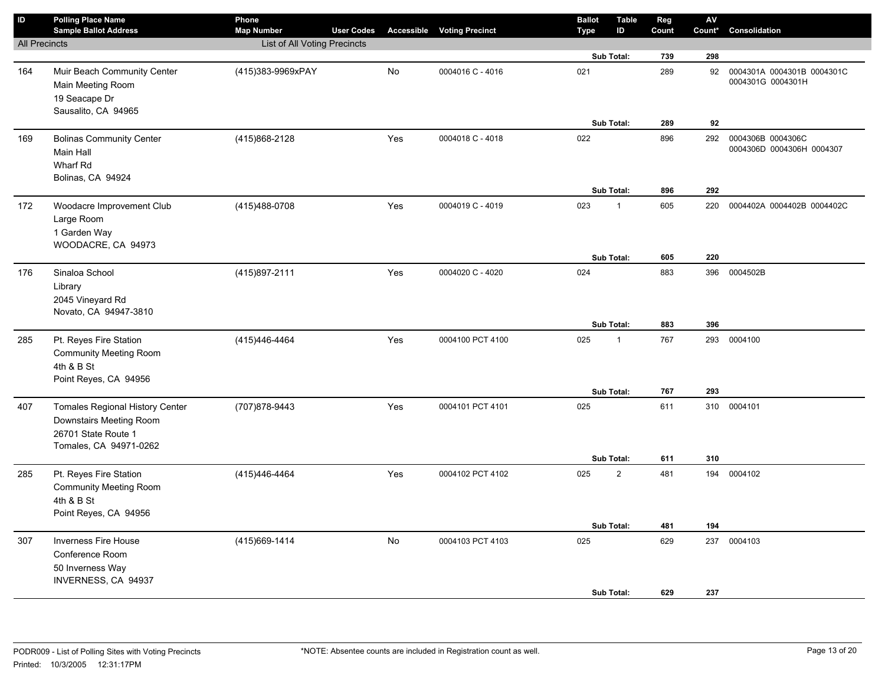| $\sf ID$             | <b>Polling Place Name</b><br><b>Sample Ballot Address</b>                                                          | Phone<br><b>Map Number</b>   | <b>User Codes</b> |     | <b>Accessible Voting Precinct</b> | <b>Ballot</b><br><b>Type</b> | <b>Table</b><br>ID | Reg<br>Count | AV<br>Count* | Consolidation                                   |
|----------------------|--------------------------------------------------------------------------------------------------------------------|------------------------------|-------------------|-----|-----------------------------------|------------------------------|--------------------|--------------|--------------|-------------------------------------------------|
| <b>All Precincts</b> |                                                                                                                    | List of All Voting Precincts |                   |     |                                   |                              |                    |              |              |                                                 |
|                      |                                                                                                                    |                              |                   |     |                                   |                              | Sub Total:         | 739          | 298          |                                                 |
| 164                  | Muir Beach Community Center<br>Main Meeting Room<br>19 Seacape Dr                                                  | (415)383-9969xPAY            |                   | No  | 0004016 C - 4016                  | 021                          |                    | 289          | 92           | 0004301A 0004301B 0004301C<br>0004301G 0004301H |
|                      | Sausalito, CA 94965                                                                                                |                              |                   |     |                                   |                              | Sub Total:         | 289          | 92           |                                                 |
| 169                  | <b>Bolinas Community Center</b><br>Main Hall<br>Wharf Rd<br>Bolinas, CA 94924                                      | (415)868-2128                |                   | Yes | 0004018 C - 4018                  | 022                          |                    | 896          | 292          | 0004306B 0004306C<br>0004306D 0004306H 0004307  |
|                      |                                                                                                                    |                              |                   |     |                                   |                              | Sub Total:         | 896          | 292          |                                                 |
| 172                  | Woodacre Improvement Club<br>Large Room<br>1 Garden Way<br>WOODACRE, CA 94973                                      | (415)488-0708                |                   | Yes | 0004019 C - 4019                  | 023                          | $\mathbf{1}$       | 605          | 220          | 0004402A 0004402B 0004402C                      |
|                      |                                                                                                                    |                              |                   |     |                                   |                              | Sub Total:         | 605          | 220          |                                                 |
| 176                  | Sinaloa School<br>Library<br>2045 Vineyard Rd<br>Novato, CA 94947-3810                                             | (415) 897-2111               |                   | Yes | 0004020 C - 4020                  | 024                          | Sub Total:         | 883<br>883   | 396<br>396   | 0004502B                                        |
| 285                  | Pt. Reyes Fire Station                                                                                             | (415)446-4464                |                   | Yes | 0004100 PCT 4100                  | 025                          | $\mathbf{1}$       | 767          | 293          | 0004100                                         |
|                      | <b>Community Meeting Room</b><br>4th & B St<br>Point Reyes, CA 94956                                               |                              |                   |     |                                   |                              |                    |              |              |                                                 |
|                      |                                                                                                                    |                              |                   |     |                                   |                              | Sub Total:         | 767          | 293          |                                                 |
| 407                  | <b>Tomales Regional History Center</b><br>Downstairs Meeting Room<br>26701 State Route 1<br>Tomales, CA 94971-0262 | (707) 878-9443               |                   | Yes | 0004101 PCT 4101                  | 025                          | Sub Total:         | 611<br>611   | 310<br>310   | 0004101                                         |
| 285                  | Pt. Reyes Fire Station<br><b>Community Meeting Room</b><br>4th & B St<br>Point Reyes, CA 94956                     | (415) 446-4464               |                   | Yes | 0004102 PCT 4102                  | 025                          | $\overline{2}$     | 481          |              | 194 0004102                                     |
|                      |                                                                                                                    |                              |                   |     |                                   |                              | Sub Total:         | 481          | 194          |                                                 |
| 307                  | <b>Inverness Fire House</b><br>Conference Room<br>50 Inverness Way<br><b>INVERNESS, CA 94937</b>                   | (415) 669-1414               |                   | No  | 0004103 PCT 4103                  | 025                          | Sub Total:         | 629<br>629   | 237<br>237   | 0004103                                         |
|                      |                                                                                                                    |                              |                   |     |                                   |                              |                    |              |              |                                                 |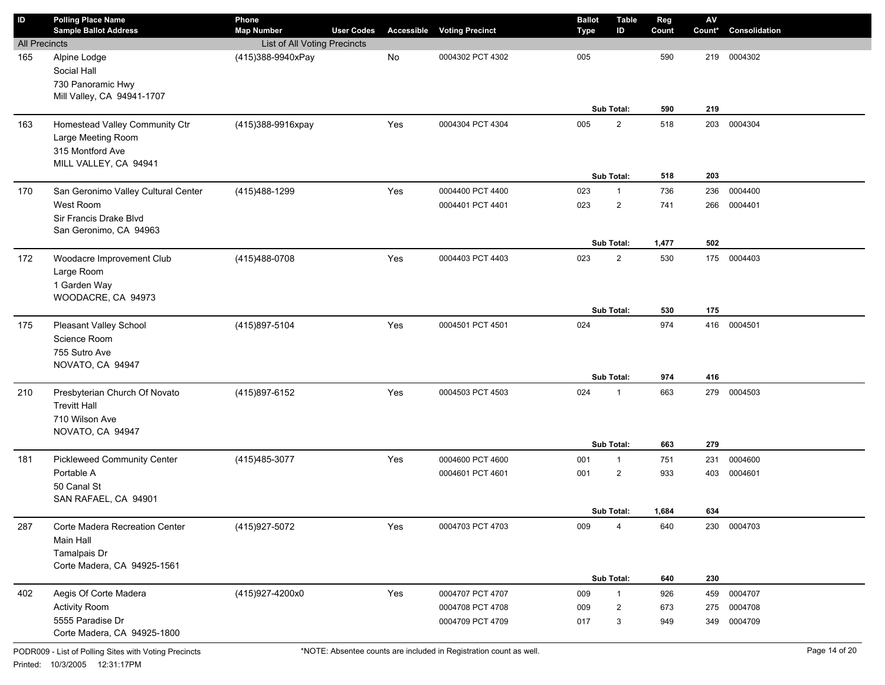| $\sf ID$             | <b>Polling Place Name</b><br><b>Sample Ballot Address</b>                                  | Phone<br><b>Map Number</b>   | <b>User Codes</b> | Accessible | <b>Voting Precinct</b> | <b>Ballot</b><br><b>Type</b> | <b>Table</b><br>ID | Reg<br>Count | ${\sf AV}$<br>Count* | Consolidation |
|----------------------|--------------------------------------------------------------------------------------------|------------------------------|-------------------|------------|------------------------|------------------------------|--------------------|--------------|----------------------|---------------|
| <b>All Precincts</b> |                                                                                            | List of All Voting Precincts |                   |            |                        |                              |                    |              |                      |               |
| 165                  | Alpine Lodge<br>Social Hall<br>730 Panoramic Hwy<br>Mill Valley, CA 94941-1707             | (415)388-9940xPay            |                   | No         | 0004302 PCT 4302       | 005                          | Sub Total:         | 590<br>590   | 219<br>219           | 0004302       |
| 163                  | Homestead Valley Community Ctr                                                             | (415)388-9916xpay            |                   | Yes        | 0004304 PCT 4304       | 005                          | $\overline{2}$     | 518          | 203                  | 0004304       |
|                      | Large Meeting Room<br>315 Montford Ave<br>MILL VALLEY, CA 94941                            |                              |                   |            |                        |                              | Sub Total:         | 518          | 203                  |               |
| 170                  | San Geronimo Valley Cultural Center                                                        | (415) 488-1299               |                   | Yes        | 0004400 PCT 4400       | 023                          | $\mathbf{1}$       | 736          | 236                  | 0004400       |
|                      | West Room<br>Sir Francis Drake Blvd<br>San Geronimo, CA 94963                              |                              |                   |            | 0004401 PCT 4401       | 023                          | $\overline{2}$     | 741          | 266                  | 0004401       |
|                      |                                                                                            |                              |                   |            |                        |                              | Sub Total:         | 1,477        | 502                  |               |
| 172                  | Woodacre Improvement Club<br>Large Room<br>1 Garden Way<br>WOODACRE, CA 94973              | (415) 488-0708               |                   | Yes        | 0004403 PCT 4403       | 023                          | $\overline{2}$     | 530          |                      | 175 0004403   |
|                      |                                                                                            |                              |                   |            |                        |                              | Sub Total:         | 530          | 175                  |               |
| 175                  | Pleasant Valley School<br>Science Room<br>755 Sutro Ave<br>NOVATO, CA 94947                | (415)897-5104                |                   | Yes        | 0004501 PCT 4501       | 024                          |                    | 974          |                      | 416 0004501   |
|                      |                                                                                            |                              |                   |            |                        |                              | Sub Total:         | 974          | 416                  |               |
| 210                  | Presbyterian Church Of Novato<br><b>Trevitt Hall</b><br>710 Wilson Ave<br>NOVATO, CA 94947 | (415)897-6152                |                   | Yes        | 0004503 PCT 4503       | 024                          | $\mathbf{1}$       | 663          |                      | 279 0004503   |
|                      |                                                                                            |                              |                   |            |                        |                              | Sub Total:         | 663          | 279                  |               |
| 181                  | <b>Pickleweed Community Center</b>                                                         | (415) 485-3077               |                   | Yes        | 0004600 PCT 4600       | 001                          | $\mathbf{1}$       | 751          | 231                  | 0004600       |
|                      | Portable A<br>50 Canal St<br>SAN RAFAEL, CA 94901                                          |                              |                   |            | 0004601 PCT 4601       | 001                          | $\overline{2}$     | 933          | 403                  | 0004601       |
|                      |                                                                                            |                              |                   |            |                        |                              | Sub Total:         | 1,684        | 634                  |               |
| 287                  | Corte Madera Recreation Center<br>Main Hall<br>Tamalpais Dr<br>Corte Madera, CA 94925-1561 | (415) 927-5072               |                   | Yes        | 0004703 PCT 4703       | 009                          | 4                  | 640          |                      | 230 0004703   |
|                      |                                                                                            |                              |                   |            |                        |                              | Sub Total:         | 640          | 230                  |               |
| 402                  | Aegis Of Corte Madera                                                                      | (415)927-4200x0              |                   | Yes        | 0004707 PCT 4707       | 009                          | $\mathbf{1}$       | 926          | 459                  | 0004707       |
|                      | <b>Activity Room</b>                                                                       |                              |                   |            | 0004708 PCT 4708       | 009                          | $\overline{2}$     | 673          | 275                  | 0004708       |
|                      | 5555 Paradise Dr<br>Corte Madera, CA 94925-1800                                            |                              |                   |            | 0004709 PCT 4709       | 017                          | 3                  | 949          | 349                  | 0004709       |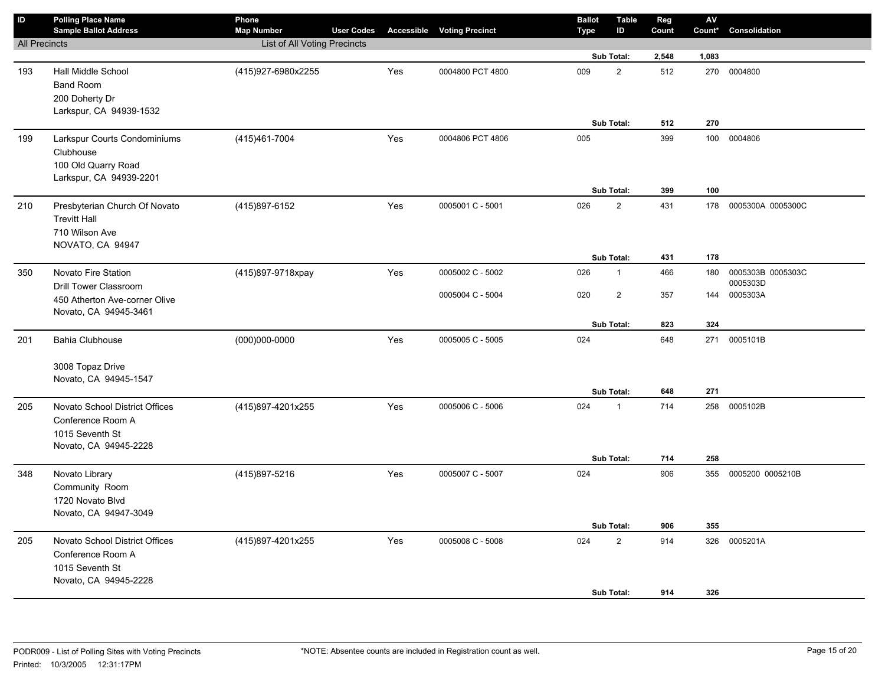| $\sf ID$             | <b>Polling Place Name</b><br><b>Sample Ballot Address</b>                                       | Phone<br><b>Map Number</b>   | <b>User Codes</b> |     | <b>Accessible Voting Precinct</b> | <b>Ballot</b><br>Type | <b>Table</b><br>ID         | Reg<br>Count | ${\sf AV}$<br>Count* | Consolidation     |
|----------------------|-------------------------------------------------------------------------------------------------|------------------------------|-------------------|-----|-----------------------------------|-----------------------|----------------------------|--------------|----------------------|-------------------|
| <b>All Precincts</b> |                                                                                                 | List of All Voting Precincts |                   |     |                                   |                       |                            |              |                      |                   |
|                      |                                                                                                 |                              |                   |     |                                   |                       | Sub Total:                 | 2,548        | 1,083                |                   |
| 193                  | Hall Middle School<br><b>Band Room</b><br>200 Doherty Dr<br>Larkspur, CA 94939-1532             | (415)927-6980x2255           |                   | Yes | 0004800 PCT 4800                  | 009                   | $\overline{2}$             | 512          |                      | 270 0004800       |
|                      |                                                                                                 |                              |                   |     |                                   |                       | Sub Total:                 | 512          | 270                  |                   |
| 199                  | Larkspur Courts Condominiums<br>Clubhouse<br>100 Old Quarry Road<br>Larkspur, CA 94939-2201     | (415) 461-7004               |                   | Yes | 0004806 PCT 4806                  | 005                   | Sub Total:                 | 399<br>399   | 100<br>100           | 0004806           |
| 210                  | Presbyterian Church Of Novato                                                                   | (415)897-6152                |                   | Yes | 0005001 C - 5001                  | 026                   | $\overline{2}$             | 431          | 178                  | 0005300A 0005300C |
|                      | <b>Trevitt Hall</b><br>710 Wilson Ave<br>NOVATO, CA 94947                                       |                              |                   |     |                                   |                       | Sub Total:                 | 431          | 178                  |                   |
| 350                  | Novato Fire Station                                                                             | (415)897-9718xpay            |                   | Yes | 0005002 C - 5002                  | 026                   | $\mathbf{1}$               | 466          | 180                  | 0005303B 0005303C |
|                      | <b>Drill Tower Classroom</b>                                                                    |                              |                   |     |                                   |                       |                            |              |                      | 0005303D          |
|                      | 450 Atherton Ave-corner Olive<br>Novato, CA 94945-3461                                          |                              |                   |     | 0005004 C - 5004                  | 020                   | $\overline{2}$             | 357          | 144                  | 0005303A          |
|                      |                                                                                                 |                              |                   |     |                                   |                       | Sub Total:                 | 823          | 324                  |                   |
| 201                  | <b>Bahia Clubhouse</b><br>3008 Topaz Drive<br>Novato, CA 94945-1547                             | $(000)000 - 0000$            |                   | Yes | 0005005 C - 5005                  | 024                   |                            | 648          | 271                  | 0005101B          |
|                      |                                                                                                 |                              |                   |     |                                   |                       | Sub Total:                 | 648          | 271                  |                   |
| 205                  | Novato School District Offices<br>Conference Room A<br>1015 Seventh St<br>Novato, CA 94945-2228 | (415)897-4201x255            |                   | Yes | 0005006 C - 5006                  | 024                   | $\mathbf{1}$<br>Sub Total: | 714<br>714   | 258<br>258           | 0005102B          |
| 348                  | Novato Library                                                                                  | (415)897-5216                |                   | Yes | 0005007 C - 5007                  | 024                   |                            | 906          | 355                  | 0005200 0005210B  |
|                      | Community Room<br>1720 Novato Blvd<br>Novato, CA 94947-3049                                     |                              |                   |     |                                   |                       | Sub Total:                 | 906          | 355                  |                   |
| 205                  | Novato School District Offices                                                                  | (415)897-4201x255            |                   | Yes | 0005008 C - 5008                  | 024                   | $\overline{2}$             | 914          | 326                  | 0005201A          |
|                      | Conference Room A<br>1015 Seventh St<br>Novato, CA 94945-2228                                   |                              |                   |     |                                   |                       | Sub Total:                 | 914          | 326                  |                   |
|                      |                                                                                                 |                              |                   |     |                                   |                       |                            |              |                      |                   |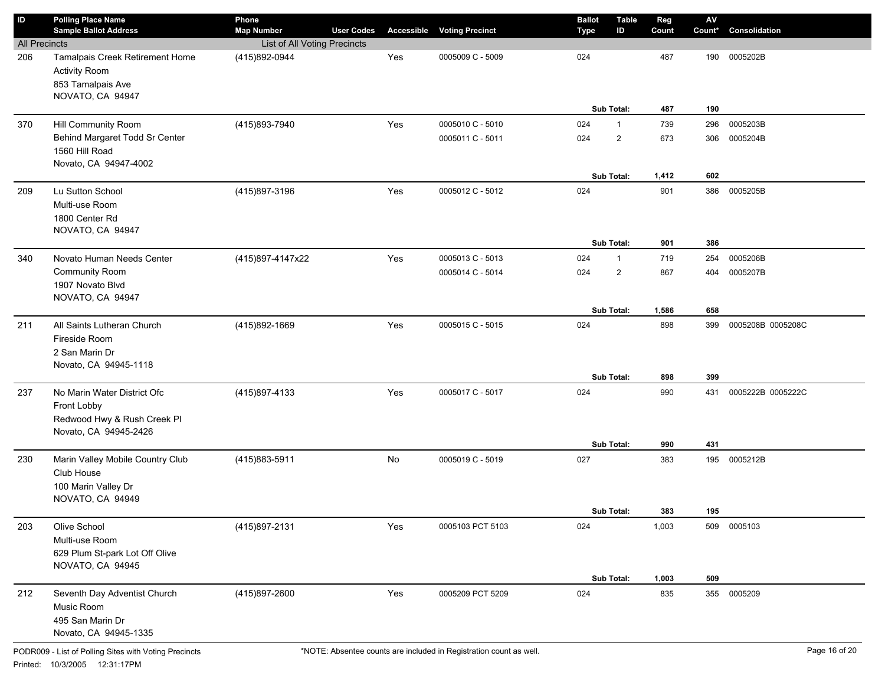| $\sf ID$             | <b>Polling Place Name</b><br><b>Sample Ballot Address</b>                                          | Phone<br><b>Map Number</b>   | <b>User Codes</b> | <b>Accessible</b> | <b>Voting Precinct</b> | <b>Ballot</b><br><b>Type</b> | <b>Table</b><br>ID           | Reg<br>Count | $\mathsf{AV}$<br>Count* | Consolidation     |
|----------------------|----------------------------------------------------------------------------------------------------|------------------------------|-------------------|-------------------|------------------------|------------------------------|------------------------------|--------------|-------------------------|-------------------|
| <b>All Precincts</b> |                                                                                                    | List of All Voting Precincts |                   |                   |                        |                              |                              |              |                         |                   |
| 206                  | Tamalpais Creek Retirement Home<br><b>Activity Room</b><br>853 Tamalpais Ave<br>NOVATO, CA 94947   | (415)892-0944                |                   | Yes               | 0005009 C - 5009       | 024                          | Sub Total:                   | 487<br>487   | 190<br>190              | 0005202B          |
| 370                  | Hill Community Room                                                                                | (415)893-7940                |                   | Yes               | 0005010 C - 5010       | 024                          | $\mathbf{1}$                 | 739          | 296                     | 0005203B          |
|                      | Behind Margaret Todd Sr Center<br>1560 Hill Road<br>Novato, CA 94947-4002                          |                              |                   |                   | 0005011 C - 5011       | 024                          | $\overline{2}$<br>Sub Total: | 673<br>1,412 | 306<br>602              | 0005204B          |
| 209                  | Lu Sutton School<br>Multi-use Room<br>1800 Center Rd<br>NOVATO, CA 94947                           | (415)897-3196                |                   | Yes               | 0005012 C - 5012       | 024                          | Sub Total:                   | 901<br>901   | 386<br>386              | 0005205B          |
| 340                  | Novato Human Needs Center                                                                          | (415)897-4147x22             |                   | Yes               | 0005013 C - 5013       | 024                          | $\mathbf{1}$                 | 719          | 254                     | 0005206B          |
|                      | <b>Community Room</b><br>1907 Novato Blvd<br>NOVATO, CA 94947                                      |                              |                   |                   | 0005014 C - 5014       | 024                          | 2<br>Sub Total:              | 867<br>1,586 | 404<br>658              | 0005207B          |
| 211                  | All Saints Lutheran Church<br>Fireside Room<br>2 San Marin Dr<br>Novato, CA 94945-1118             | (415)892-1669                |                   | Yes               | 0005015 C - 5015       | 024                          | Sub Total:                   | 898<br>898   | 399<br>399              | 0005208B 0005208C |
| 237                  | No Marin Water District Ofc<br>Front Lobby<br>Redwood Hwy & Rush Creek Pl<br>Novato, CA 94945-2426 | (415)897-4133                |                   | Yes               | 0005017 C - 5017       | 024                          | Sub Total:                   | 990<br>990   | 431<br>431              | 0005222B 0005222C |
| 230                  | Marin Valley Mobile Country Club<br>Club House<br>100 Marin Valley Dr<br>NOVATO, CA 94949          | (415) 883-5911               |                   | No                | 0005019 C - 5019       | 027                          | Sub Total:                   | 383<br>383   | 195<br>195              | 0005212B          |
| 203                  | Olive School<br>Multi-use Room<br>629 Plum St-park Lot Off Olive<br>NOVATO, CA 94945               | (415)897-2131                |                   | Yes               | 0005103 PCT 5103       | 024                          | Sub Total:                   | 1,003        | 509<br>509              | 0005103           |
| 212                  | Seventh Day Adventist Church<br>Music Room<br>495 San Marin Dr<br>Novato, CA 94945-1335            | (415)897-2600                |                   | Yes               | 0005209 PCT 5209       | 024                          |                              | 1,003<br>835 | 355                     | 0005209           |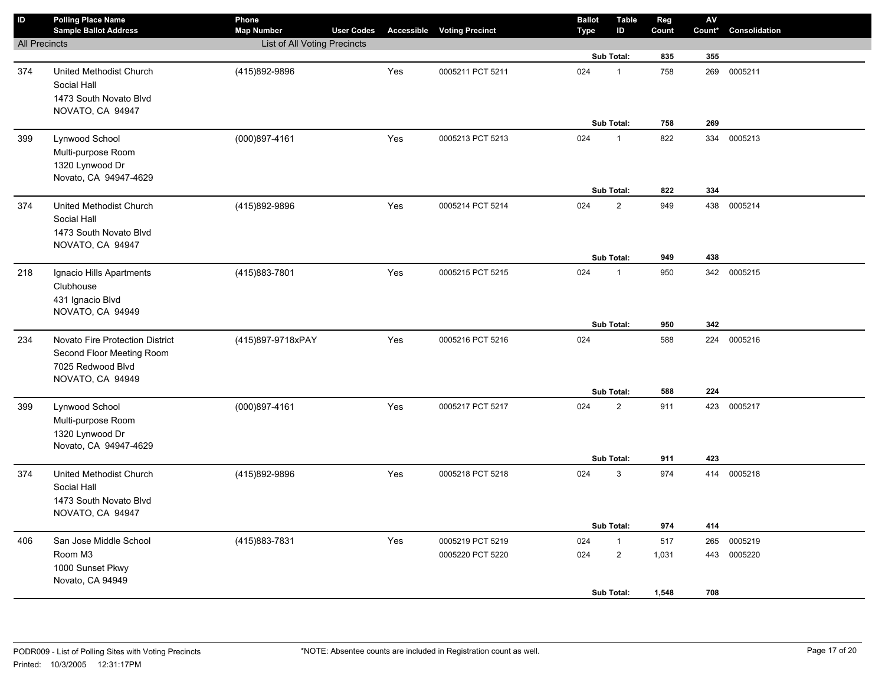| ID                   | <b>Polling Place Name</b>              | Phone                        |                   |     |                                   | <b>Ballot</b> | <b>Table</b>   | Reg        | AV     |               |
|----------------------|----------------------------------------|------------------------------|-------------------|-----|-----------------------------------|---------------|----------------|------------|--------|---------------|
|                      | <b>Sample Ballot Address</b>           | <b>Map Number</b>            | <b>User Codes</b> |     | <b>Accessible Voting Precinct</b> | <b>Type</b>   | ID             | Count      | Count* | Consolidation |
| <b>All Precincts</b> |                                        | List of All Voting Precincts |                   |     |                                   |               | Sub Total:     | 835        | 355    |               |
|                      |                                        | (415)892-9896                |                   |     | 0005211 PCT 5211                  | 024           |                | 758        | 269    |               |
| 374                  | United Methodist Church<br>Social Hall |                              |                   | Yes |                                   |               | $\mathbf{1}$   |            |        | 0005211       |
|                      | 1473 South Novato Blvd                 |                              |                   |     |                                   |               |                |            |        |               |
|                      | NOVATO, CA 94947                       |                              |                   |     |                                   |               |                |            |        |               |
|                      |                                        |                              |                   |     |                                   |               | Sub Total:     | 758        | 269    |               |
| 399                  | Lynwood School                         | $(000)897 - 4161$            |                   | Yes | 0005213 PCT 5213                  | 024           | $\mathbf{1}$   | 822        |        | 334 0005213   |
|                      | Multi-purpose Room                     |                              |                   |     |                                   |               |                |            |        |               |
|                      | 1320 Lynwood Dr                        |                              |                   |     |                                   |               |                |            |        |               |
|                      | Novato, CA 94947-4629                  |                              |                   |     |                                   |               |                |            |        |               |
|                      |                                        |                              |                   |     |                                   |               | Sub Total:     | 822        | 334    |               |
| 374                  | United Methodist Church                | (415)892-9896                |                   | Yes | 0005214 PCT 5214                  | 024           | $\overline{2}$ | 949        | 438    | 0005214       |
|                      | Social Hall                            |                              |                   |     |                                   |               |                |            |        |               |
|                      | 1473 South Novato Blvd                 |                              |                   |     |                                   |               |                |            |        |               |
|                      | NOVATO, CA 94947                       |                              |                   |     |                                   |               |                |            |        |               |
|                      |                                        |                              |                   |     |                                   |               | Sub Total:     | 949        | 438    |               |
| 218                  | Ignacio Hills Apartments               | (415)883-7801                |                   | Yes | 0005215 PCT 5215                  | 024           | $\mathbf{1}$   | 950        |        | 342 0005215   |
|                      | Clubhouse<br>431 Ignacio Blvd          |                              |                   |     |                                   |               |                |            |        |               |
|                      | NOVATO, CA 94949                       |                              |                   |     |                                   |               |                |            |        |               |
|                      |                                        |                              |                   |     |                                   |               | Sub Total:     | 950        | 342    |               |
| 234                  | Novato Fire Protection District        | (415)897-9718xPAY            |                   | Yes | 0005216 PCT 5216                  | 024           |                | 588        | 224    | 0005216       |
|                      | Second Floor Meeting Room              |                              |                   |     |                                   |               |                |            |        |               |
|                      | 7025 Redwood Blvd                      |                              |                   |     |                                   |               |                |            |        |               |
|                      | NOVATO, CA 94949                       |                              |                   |     |                                   |               |                |            |        |               |
|                      |                                        |                              |                   |     |                                   |               | Sub Total:     | 588        | 224    |               |
| 399                  | Lynwood School                         | (000)897-4161                |                   | Yes | 0005217 PCT 5217                  | 024           | $\overline{2}$ | 911        | 423    | 0005217       |
|                      | Multi-purpose Room                     |                              |                   |     |                                   |               |                |            |        |               |
|                      | 1320 Lynwood Dr                        |                              |                   |     |                                   |               |                |            |        |               |
|                      | Novato, CA 94947-4629                  |                              |                   |     |                                   |               |                |            | 423    |               |
|                      |                                        |                              |                   | Yes |                                   |               | Sub Total:     | 911<br>974 |        |               |
| 374                  | United Methodist Church<br>Social Hall | (415)892-9896                |                   |     | 0005218 PCT 5218                  | 024           | 3              |            |        | 414 0005218   |
|                      | 1473 South Novato Blvd                 |                              |                   |     |                                   |               |                |            |        |               |
|                      | NOVATO, CA 94947                       |                              |                   |     |                                   |               |                |            |        |               |
|                      |                                        |                              |                   |     |                                   |               | Sub Total:     | 974        | 414    |               |
| 406                  | San Jose Middle School                 | (415) 883-7831               |                   | Yes | 0005219 PCT 5219                  | 024           | $\mathbf{1}$   | 517        | 265    | 0005219       |
|                      | Room M3                                |                              |                   |     | 0005220 PCT 5220                  | 024           | $\overline{2}$ | 1,031      | 443    | 0005220       |
|                      | 1000 Sunset Pkwy                       |                              |                   |     |                                   |               |                |            |        |               |
|                      | Novato, CA 94949                       |                              |                   |     |                                   |               |                |            |        |               |
|                      |                                        |                              |                   |     |                                   |               | Sub Total:     | 1,548      | 708    |               |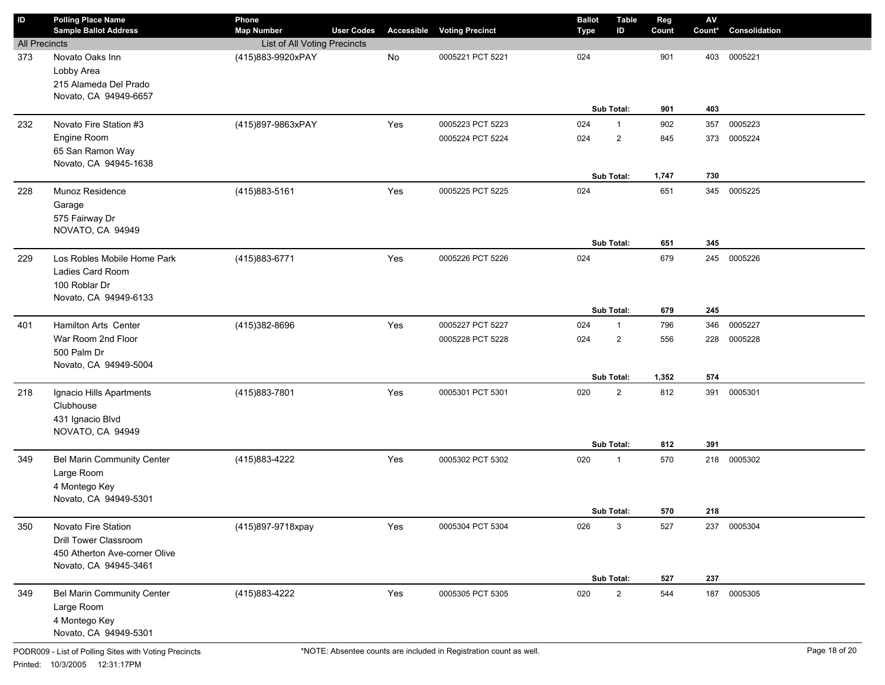| $\sf ID$             | <b>Polling Place Name</b><br><b>Sample Ballot Address</b>                                                     | Phone<br><b>Map Number</b>   | <b>User Codes</b> | Accessible | <b>Voting Precinct</b> | <b>Ballot</b><br><b>Type</b> | <b>Table</b><br>ID           | Reg<br>Count | ${\sf AV}$<br>Count* | Consolidation |
|----------------------|---------------------------------------------------------------------------------------------------------------|------------------------------|-------------------|------------|------------------------|------------------------------|------------------------------|--------------|----------------------|---------------|
| <b>All Precincts</b> |                                                                                                               | List of All Voting Precincts |                   |            |                        |                              |                              |              |                      |               |
| 373                  | Novato Oaks Inn<br>Lobby Area<br>215 Alameda Del Prado<br>Novato, CA 94949-6657                               | (415)883-9920xPAY            |                   | No         | 0005221 PCT 5221       | 024                          | Sub Total:                   | 901<br>901   | 403<br>403           | 0005221       |
| 232                  | Novato Fire Station #3                                                                                        | (415)897-9863xPAY            |                   | Yes        | 0005223 PCT 5223       | 024                          | $\mathbf{1}$                 | 902          | 357                  | 0005223       |
|                      | Engine Room<br>65 San Ramon Way<br>Novato, CA 94945-1638                                                      |                              |                   |            | 0005224 PCT 5224       | 024                          | $\overline{2}$<br>Sub Total: | 845<br>1,747 | 373<br>730           | 0005224       |
| 228                  | Munoz Residence<br>Garage<br>575 Fairway Dr<br>NOVATO, CA 94949                                               | (415) 883-5161               |                   | Yes        | 0005225 PCT 5225       | 024                          | Sub Total:                   | 651<br>651   | 345<br>345           | 0005225       |
| 229                  | Los Robles Mobile Home Park<br>Ladies Card Room<br>100 Roblar Dr<br>Novato, CA 94949-6133                     | (415) 883-6771               |                   | Yes        | 0005226 PCT 5226       | 024                          | Sub Total:                   | 679<br>679   | 245<br>245           | 0005226       |
| 401                  | Hamilton Arts Center                                                                                          | (415)382-8696                |                   | Yes        | 0005227 PCT 5227       | 024                          | $\mathbf{1}$                 | 796          | 346                  | 0005227       |
|                      | War Room 2nd Floor<br>500 Palm Dr<br>Novato, CA 94949-5004                                                    |                              |                   |            | 0005228 PCT 5228       | 024                          | $\overline{2}$<br>Sub Total: | 556<br>1,352 | 228<br>574           | 0005228       |
| 218                  | Ignacio Hills Apartments<br>Clubhouse<br>431 Ignacio Blvd<br>NOVATO, CA 94949                                 | (415)883-7801                |                   | Yes        | 0005301 PCT 5301       | 020                          | $\overline{2}$<br>Sub Total: | 812<br>812   | 391<br>391           | 0005301       |
| 349                  | <b>Bel Marin Community Center</b><br>Large Room<br>4 Montego Key<br>Novato, CA 94949-5301                     | (415) 883-4222               |                   | Yes        | 0005302 PCT 5302       | 020                          | $\mathbf{1}$<br>Sub Total:   | 570<br>570   | 218<br>218           | 0005302       |
| 350                  | Novato Fire Station<br><b>Drill Tower Classroom</b><br>450 Atherton Ave-corner Olive<br>Novato, CA 94945-3461 | (415)897-9718xpay            |                   | Yes        | 0005304 PCT 5304       | 026                          | 3<br>Sub Total:              | 527<br>527   | 237<br>237           | 0005304       |
| 349                  | <b>Bel Marin Community Center</b><br>Large Room<br>4 Montego Key<br>Novato, CA 94949-5301                     | (415)883-4222                |                   | Yes        | 0005305 PCT 5305       | 020                          | $\overline{2}$               | 544          | 187                  | 0005305       |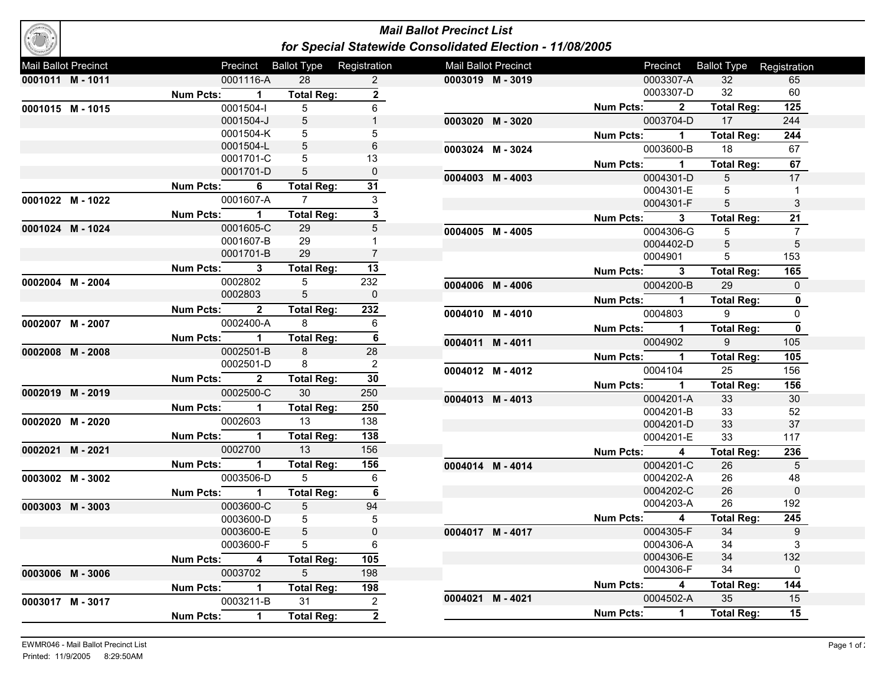## *Mail Ballot Precinct List for Special Statewide Consolidated Election - 11/08/2005*

| Mail Ballot Precinct |                |                  | Precinct       | <b>Ballot Type</b> Registration |                         | Mail Ballot Precinct |                  | Precinct                | <b>Ballot Type</b> Registration |                  |
|----------------------|----------------|------------------|----------------|---------------------------------|-------------------------|----------------------|------------------|-------------------------|---------------------------------|------------------|
| 0001011 M-1011       |                |                  | 0001116-A      | 28                              | $\overline{2}$          | 0003019 M-3019       |                  | 0003307-A               | 32                              | 65               |
|                      |                | <b>Num Pcts:</b> | $\overline{1}$ | <b>Total Reg:</b>               | $\overline{2}$          |                      |                  | 0003307-D               | 32                              | 60               |
| 0001015 M-1015       |                |                  | 0001504-l      | 5                               | 6                       |                      | <b>Num Pcts:</b> | $\overline{2}$          | <b>Total Reg:</b>               | 125              |
|                      |                |                  | 0001504-J      | 5                               |                         | 0003020 M-3020       |                  | 0003704-D               | 17                              | 244              |
|                      |                |                  | 0001504-K      | 5                               | 5                       |                      | <b>Num Pcts:</b> | $\mathbf 1$             | <b>Total Reg:</b>               | $\overline{244}$ |
|                      |                |                  | 0001504-L      | 5                               | 6                       | 0003024 M-3024       |                  | 0003600-B               | 18                              | 67               |
|                      |                |                  | 0001701-C      | 5                               | 13                      |                      | <b>Num Pcts:</b> | $\overline{1}$          | <b>Total Reg:</b>               | 67               |
|                      |                |                  | 0001701-D      | 5                               | $\pmb{0}$               | 0004003 M-4003       |                  | 0004301-D               | 5                               | 17               |
|                      |                | <b>Num Pcts:</b> | 6              | <b>Total Reg:</b>               | $\overline{31}$         |                      |                  | 0004301-E               | 5                               | $\mathbf{1}$     |
| 0001022 M-1022       |                |                  | 0001607-A      | $\overline{7}$                  | 3                       |                      |                  | 0004301-F               | 5                               | 3                |
|                      |                | <b>Num Pcts:</b> | $\mathbf{1}$   | <b>Total Reg:</b>               | $\mathbf{3}$            |                      | <b>Num Pcts:</b> | $\mathbf{3}$            | <b>Total Reg:</b>               | $\overline{21}$  |
| 0001024 M-1024       |                |                  | 0001605-C      | 29                              | 5                       | 0004005 M-4005       |                  | 0004306-G               | 5                               | $\overline{7}$   |
|                      |                |                  | 0001607-B      | 29                              | 1                       |                      |                  | 0004402-D               | 5                               | $\sqrt{5}$       |
|                      |                |                  | 0001701-B      | 29                              | $\overline{7}$          |                      |                  | 0004901                 | 5                               | 153              |
|                      |                | <b>Num Pcts:</b> | $\mathbf{3}$   | <b>Total Reg:</b>               | 13                      |                      | <b>Num Pcts:</b> | 3                       | <b>Total Reg:</b>               | 165              |
|                      | 0002004 M-2004 |                  | 0002802        | 5                               | 232                     | 0004006 M-4006       |                  | 0004200-B               | 29                              | $\mathbf 0$      |
|                      |                |                  | 0002803        | 5                               | $\pmb{0}$               |                      | <b>Num Pcts:</b> | $\mathbf{1}$            | <b>Total Reg:</b>               | $\mathbf 0$      |
|                      |                | <b>Num Pcts:</b> | $\overline{2}$ | <b>Total Reg:</b>               | 232                     | 0004010 M-4010       |                  | 0004803                 | 9                               | $\mathbf 0$      |
| 0002007 M-2007       |                |                  | 0002400-A      | 8                               | 6                       |                      | <b>Num Pcts:</b> | $\mathbf{1}$            | <b>Total Reg:</b>               | $\mathbf 0$      |
|                      |                | <b>Num Pcts:</b> | $\mathbf{1}$   | <b>Total Reg:</b>               | $\overline{\mathbf{6}}$ | 0004011 M-4011       |                  | 0004902                 | 9                               | 105              |
| 0002008 M-2008       |                |                  | 0002501-B      | 8                               | 28                      |                      | <b>Num Pcts:</b> | $\mathbf 1$             | <b>Total Reg:</b>               | $\frac{1}{105}$  |
|                      |                |                  | 0002501-D      | 8                               | $\overline{2}$          | 0004012 M-4012       |                  | 0004104                 | 25                              | 156              |
|                      |                | <b>Num Pcts:</b> | $\overline{2}$ | <b>Total Reg:</b>               | $\overline{30}$         |                      | <b>Num Pcts:</b> | $\mathbf 1$             | <b>Total Reg:</b>               | 156              |
| 0002019 M-2019       |                |                  | 0002500-C      | 30                              | 250                     | 0004013 M-4013       |                  | 0004201-A               | 33                              | 30               |
|                      |                | <b>Num Pcts:</b> | $\overline{1}$ | <b>Total Reg:</b>               | 250                     |                      |                  | 0004201-B               | 33                              | 52               |
| 0002020 M-2020       |                |                  | 0002603        | 13                              | 138                     |                      |                  | 0004201-D               | 33                              | 37               |
|                      |                | Num Pcts:        | $\mathbf{1}$   | <b>Total Reg:</b>               | 138                     |                      |                  | 0004201-E               | 33                              | 117              |
| 0002021 M-2021       |                |                  | 0002700        | 13                              | 156                     |                      | <b>Num Pcts:</b> | 4                       | <b>Total Reg:</b>               | 236              |
|                      |                | Num Pcts:        | $\mathbf 1$    | <b>Total Reg:</b>               | 156                     | 0004014 M-4014       |                  | 0004201-C               | 26                              | 5                |
| 0003002 M-3002       |                |                  | 0003506-D      | 5                               | 6                       |                      |                  | 0004202-A               | 26                              | 48               |
|                      |                | <b>Num Pcts:</b> | $\mathbf{1}$   | <b>Total Reg:</b>               | 6                       |                      |                  | 0004202-C               | 26                              | $\mathbf 0$      |
| 0003003 M-3003       |                |                  | 0003600-C      | 5                               | 94                      |                      |                  | 0004203-A               | 26                              | 192              |
|                      |                |                  | 0003600-D      | 5                               | 5                       |                      | Num Pcts:        | $\overline{\mathbf{4}}$ | <b>Total Reg:</b>               | $\overline{245}$ |
|                      |                |                  | 0003600-E      | 5                               | $\pmb{0}$               | 0004017 M-4017       |                  | 0004305-F               | 34                              | $\boldsymbol{9}$ |
|                      |                |                  | 0003600-F      | 5                               | 6                       |                      |                  | 0004306-A               | 34                              | 3                |
|                      |                | <b>Num Pcts:</b> | 4              | <b>Total Reg:</b>               | 105                     |                      |                  | 0004306-E               | 34                              | 132              |
| 0003006 M-3006       |                |                  | 0003702        | 5                               | 198                     |                      |                  | 0004306-F               | 34                              | 0                |
|                      |                | <b>Num Pcts:</b> | $\mathbf{1}$   | <b>Total Reg:</b>               | 198                     |                      | <b>Num Pcts:</b> | 4                       | Total Reg:                      | 144              |
| 0003017 M-3017       |                |                  | 0003211-B      | 31                              | $\overline{2}$          | 0004021 M-4021       |                  | 0004502-A               | 35                              | 15               |
|                      |                | <b>Num Pcts:</b> | $\mathbf 1$    | <b>Total Reg:</b>               | $\overline{2}$          |                      | <b>Num Pcts:</b> | $\mathbf{1}$            | <b>Total Reg:</b>               | $\overline{15}$  |